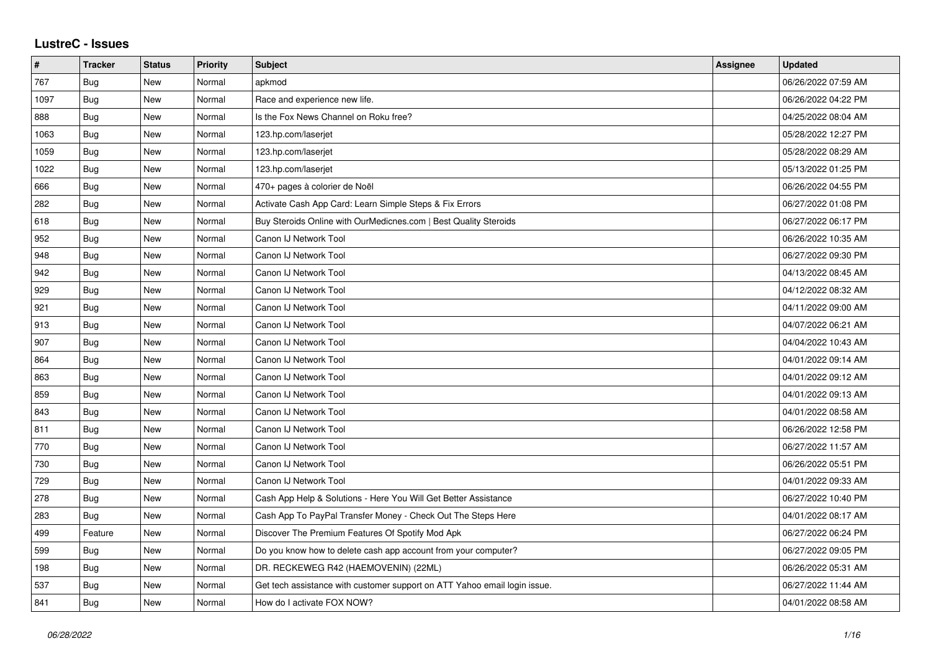## **LustreC - Issues**

| $\pmb{\#}$ | <b>Tracker</b> | <b>Status</b> | <b>Priority</b> | <b>Subject</b>                                                            | Assignee | <b>Updated</b>      |
|------------|----------------|---------------|-----------------|---------------------------------------------------------------------------|----------|---------------------|
| 767        | <b>Bug</b>     | New           | Normal          | apkmod                                                                    |          | 06/26/2022 07:59 AM |
| 1097       | <b>Bug</b>     | New           | Normal          | Race and experience new life.                                             |          | 06/26/2022 04:22 PM |
| 888        | Bug            | New           | Normal          | Is the Fox News Channel on Roku free?                                     |          | 04/25/2022 08:04 AM |
| 1063       | Bug            | New           | Normal          | 123.hp.com/laserjet                                                       |          | 05/28/2022 12:27 PM |
| 1059       | Bug            | New           | Normal          | 123.hp.com/laserjet                                                       |          | 05/28/2022 08:29 AM |
| 1022       | <b>Bug</b>     | New           | Normal          | 123.hp.com/laserjet                                                       |          | 05/13/2022 01:25 PM |
| 666        | <b>Bug</b>     | New           | Normal          | 470+ pages à colorier de Noël                                             |          | 06/26/2022 04:55 PM |
| 282        | <b>Bug</b>     | <b>New</b>    | Normal          | Activate Cash App Card: Learn Simple Steps & Fix Errors                   |          | 06/27/2022 01:08 PM |
| 618        | <b>Bug</b>     | New           | Normal          | Buy Steroids Online with OurMedicnes.com   Best Quality Steroids          |          | 06/27/2022 06:17 PM |
| 952        | Bug            | <b>New</b>    | Normal          | Canon IJ Network Tool                                                     |          | 06/26/2022 10:35 AM |
| 948        | Bug            | <b>New</b>    | Normal          | Canon IJ Network Tool                                                     |          | 06/27/2022 09:30 PM |
| 942        | Bug            | New           | Normal          | Canon IJ Network Tool                                                     |          | 04/13/2022 08:45 AM |
| 929        | Bug            | <b>New</b>    | Normal          | Canon IJ Network Tool                                                     |          | 04/12/2022 08:32 AM |
| 921        | Bug            | New           | Normal          | Canon IJ Network Tool                                                     |          | 04/11/2022 09:00 AM |
| 913        | Bug            | New           | Normal          | Canon IJ Network Tool                                                     |          | 04/07/2022 06:21 AM |
| 907        | Bug            | New           | Normal          | Canon IJ Network Tool                                                     |          | 04/04/2022 10:43 AM |
| 864        | Bug            | <b>New</b>    | Normal          | Canon IJ Network Tool                                                     |          | 04/01/2022 09:14 AM |
| 863        | Bug            | New           | Normal          | Canon IJ Network Tool                                                     |          | 04/01/2022 09:12 AM |
| 859        | <b>Bug</b>     | <b>New</b>    | Normal          | Canon IJ Network Tool                                                     |          | 04/01/2022 09:13 AM |
| 843        | Bug            | New           | Normal          | Canon IJ Network Tool                                                     |          | 04/01/2022 08:58 AM |
| 811        | Bug            | New           | Normal          | Canon IJ Network Tool                                                     |          | 06/26/2022 12:58 PM |
| 770        | Bug            | <b>New</b>    | Normal          | Canon IJ Network Tool                                                     |          | 06/27/2022 11:57 AM |
| 730        | <b>Bug</b>     | New           | Normal          | Canon IJ Network Tool                                                     |          | 06/26/2022 05:51 PM |
| 729        | Bug            | New           | Normal          | Canon IJ Network Tool                                                     |          | 04/01/2022 09:33 AM |
| 278        | Bug            | <b>New</b>    | Normal          | Cash App Help & Solutions - Here You Will Get Better Assistance           |          | 06/27/2022 10:40 PM |
| 283        | Bug            | New           | Normal          | Cash App To PayPal Transfer Money - Check Out The Steps Here              |          | 04/01/2022 08:17 AM |
| 499        | Feature        | New           | Normal          | Discover The Premium Features Of Spotify Mod Apk                          |          | 06/27/2022 06:24 PM |
| 599        | Bug            | New           | Normal          | Do you know how to delete cash app account from your computer?            |          | 06/27/2022 09:05 PM |
| 198        | Bug            | New           | Normal          | DR. RECKEWEG R42 (HAEMOVENIN) (22ML)                                      |          | 06/26/2022 05:31 AM |
| 537        | Bug            | New           | Normal          | Get tech assistance with customer support on ATT Yahoo email login issue. |          | 06/27/2022 11:44 AM |
| 841        | Bug            | New           | Normal          | How do I activate FOX NOW?                                                |          | 04/01/2022 08:58 AM |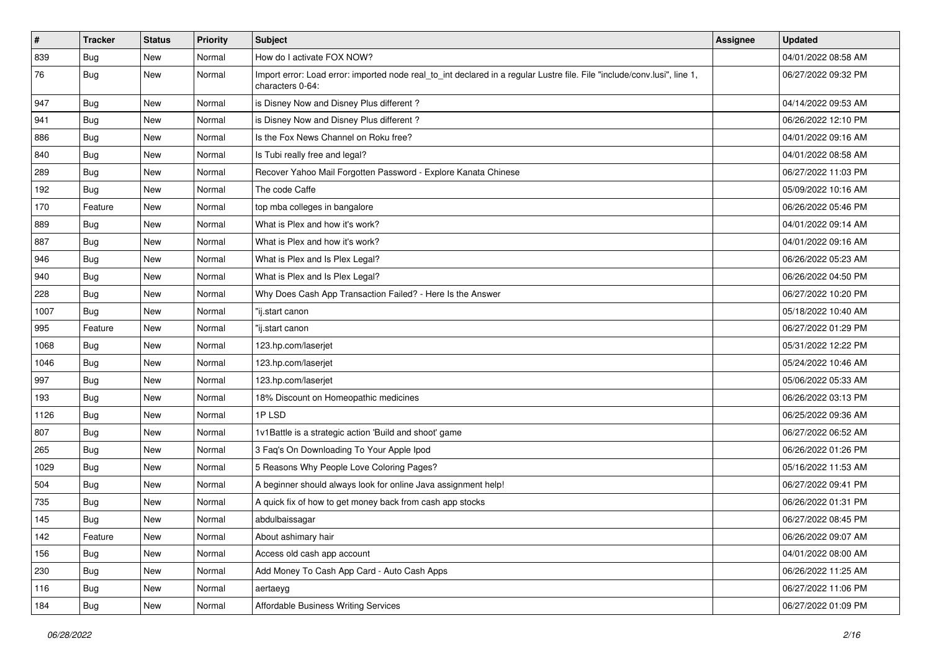| $\vert$ # | <b>Tracker</b> | <b>Status</b> | <b>Priority</b> | <b>Subject</b>                                                                                                                               | Assignee | <b>Updated</b>      |
|-----------|----------------|---------------|-----------------|----------------------------------------------------------------------------------------------------------------------------------------------|----------|---------------------|
| 839       | <b>Bug</b>     | New           | Normal          | How do I activate FOX NOW?                                                                                                                   |          | 04/01/2022 08:58 AM |
| 76        | <b>Bug</b>     | New           | Normal          | Import error: Load error: imported node real_to_int declared in a regular Lustre file. File "include/conv.lusi", line 1,<br>characters 0-64: |          | 06/27/2022 09:32 PM |
| 947       | <b>Bug</b>     | New           | Normal          | is Disney Now and Disney Plus different?                                                                                                     |          | 04/14/2022 09:53 AM |
| 941       | Bug            | New           | Normal          | is Disney Now and Disney Plus different?                                                                                                     |          | 06/26/2022 12:10 PM |
| 886       | <b>Bug</b>     | New           | Normal          | Is the Fox News Channel on Roku free?                                                                                                        |          | 04/01/2022 09:16 AM |
| 840       | Bug            | New           | Normal          | Is Tubi really free and legal?                                                                                                               |          | 04/01/2022 08:58 AM |
| 289       | Bug            | New           | Normal          | Recover Yahoo Mail Forgotten Password - Explore Kanata Chinese                                                                               |          | 06/27/2022 11:03 PM |
| 192       | Bug            | New           | Normal          | The code Caffe                                                                                                                               |          | 05/09/2022 10:16 AM |
| 170       | Feature        | <b>New</b>    | Normal          | top mba colleges in bangalore                                                                                                                |          | 06/26/2022 05:46 PM |
| 889       | Bug            | New           | Normal          | What is Plex and how it's work?                                                                                                              |          | 04/01/2022 09:14 AM |
| 887       | Bug            | New           | Normal          | What is Plex and how it's work?                                                                                                              |          | 04/01/2022 09:16 AM |
| 946       | Bug            | New           | Normal          | What is Plex and Is Plex Legal?                                                                                                              |          | 06/26/2022 05:23 AM |
| 940       | <b>Bug</b>     | New           | Normal          | What is Plex and Is Plex Legal?                                                                                                              |          | 06/26/2022 04:50 PM |
| 228       | <b>Bug</b>     | New           | Normal          | Why Does Cash App Transaction Failed? - Here Is the Answer                                                                                   |          | 06/27/2022 10:20 PM |
| 1007      | <b>Bug</b>     | New           | Normal          | "ij.start canon                                                                                                                              |          | 05/18/2022 10:40 AM |
| 995       | Feature        | New           | Normal          | "ij.start canon                                                                                                                              |          | 06/27/2022 01:29 PM |
| 1068      | Bug            | New           | Normal          | 123.hp.com/laserjet                                                                                                                          |          | 05/31/2022 12:22 PM |
| 1046      | <b>Bug</b>     | New           | Normal          | 123.hp.com/laserjet                                                                                                                          |          | 05/24/2022 10:46 AM |
| 997       | Bug            | New           | Normal          | 123.hp.com/laserjet                                                                                                                          |          | 05/06/2022 05:33 AM |
| 193       | Bug            | New           | Normal          | 18% Discount on Homeopathic medicines                                                                                                        |          | 06/26/2022 03:13 PM |
| 1126      | <b>Bug</b>     | New           | Normal          | 1PLSD                                                                                                                                        |          | 06/25/2022 09:36 AM |
| 807       | Bug            | New           | Normal          | 1v1Battle is a strategic action 'Build and shoot' game                                                                                       |          | 06/27/2022 06:52 AM |
| 265       | <b>Bug</b>     | New           | Normal          | 3 Faq's On Downloading To Your Apple Ipod                                                                                                    |          | 06/26/2022 01:26 PM |
| 1029      | <b>Bug</b>     | New           | Normal          | 5 Reasons Why People Love Coloring Pages?                                                                                                    |          | 05/16/2022 11:53 AM |
| 504       | <b>Bug</b>     | New           | Normal          | A beginner should always look for online Java assignment help!                                                                               |          | 06/27/2022 09:41 PM |
| 735       | <b>Bug</b>     | New           | Normal          | A quick fix of how to get money back from cash app stocks                                                                                    |          | 06/26/2022 01:31 PM |
| 145       | <b>Bug</b>     | New           | Normal          | abdulbaissagar                                                                                                                               |          | 06/27/2022 08:45 PM |
| 142       | Feature        | New           | Normal          | About ashimary hair                                                                                                                          |          | 06/26/2022 09:07 AM |
| 156       | Bug            | New           | Normal          | Access old cash app account                                                                                                                  |          | 04/01/2022 08:00 AM |
| 230       | Bug            | New           | Normal          | Add Money To Cash App Card - Auto Cash Apps                                                                                                  |          | 06/26/2022 11:25 AM |
| 116       | <b>Bug</b>     | New           | Normal          | aertaeyg                                                                                                                                     |          | 06/27/2022 11:06 PM |
| 184       | Bug            | New           | Normal          | <b>Affordable Business Writing Services</b>                                                                                                  |          | 06/27/2022 01:09 PM |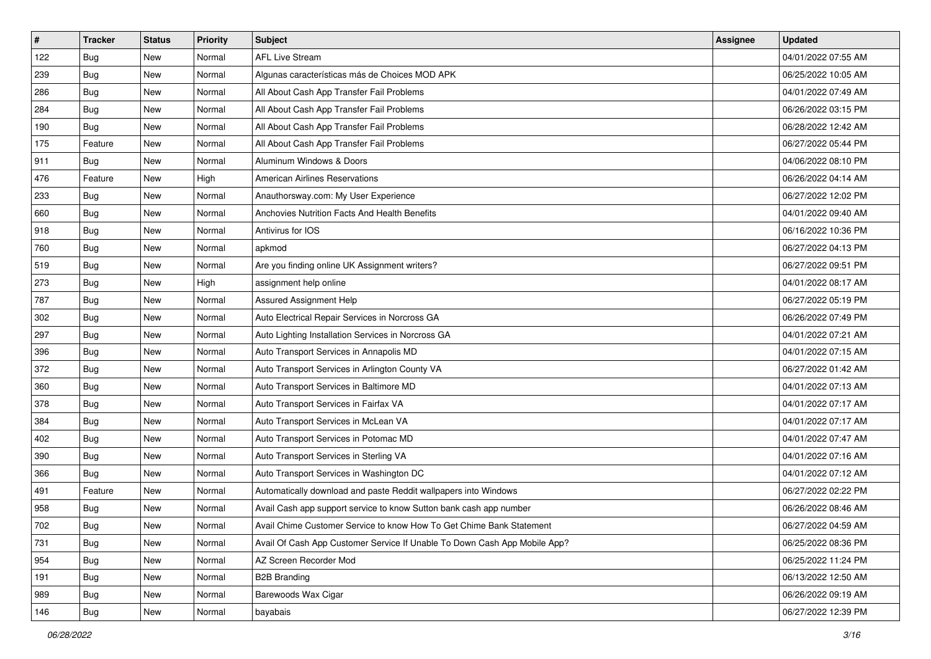| $\vert$ # | <b>Tracker</b> | <b>Status</b> | Priority | Subject                                                                   | Assignee | <b>Updated</b>      |
|-----------|----------------|---------------|----------|---------------------------------------------------------------------------|----------|---------------------|
| 122       | <b>Bug</b>     | New           | Normal   | <b>AFL Live Stream</b>                                                    |          | 04/01/2022 07:55 AM |
| 239       | <b>Bug</b>     | New           | Normal   | Algunas características más de Choices MOD APK                            |          | 06/25/2022 10:05 AM |
| 286       | Bug            | New           | Normal   | All About Cash App Transfer Fail Problems                                 |          | 04/01/2022 07:49 AM |
| 284       | <b>Bug</b>     | New           | Normal   | All About Cash App Transfer Fail Problems                                 |          | 06/26/2022 03:15 PM |
| 190       | Bug            | New           | Normal   | All About Cash App Transfer Fail Problems                                 |          | 06/28/2022 12:42 AM |
| 175       | Feature        | New           | Normal   | All About Cash App Transfer Fail Problems                                 |          | 06/27/2022 05:44 PM |
| 911       | <b>Bug</b>     | New           | Normal   | Aluminum Windows & Doors                                                  |          | 04/06/2022 08:10 PM |
| 476       | Feature        | New           | High     | <b>American Airlines Reservations</b>                                     |          | 06/26/2022 04:14 AM |
| 233       | <b>Bug</b>     | New           | Normal   | Anauthorsway.com: My User Experience                                      |          | 06/27/2022 12:02 PM |
| 660       | Bug            | New           | Normal   | Anchovies Nutrition Facts And Health Benefits                             |          | 04/01/2022 09:40 AM |
| 918       | <b>Bug</b>     | New           | Normal   | Antivirus for IOS                                                         |          | 06/16/2022 10:36 PM |
| 760       | <b>Bug</b>     | New           | Normal   | apkmod                                                                    |          | 06/27/2022 04:13 PM |
| 519       | Bug            | New           | Normal   | Are you finding online UK Assignment writers?                             |          | 06/27/2022 09:51 PM |
| 273       | <b>Bug</b>     | New           | High     | assignment help online                                                    |          | 04/01/2022 08:17 AM |
| 787       | <b>Bug</b>     | New           | Normal   | Assured Assignment Help                                                   |          | 06/27/2022 05:19 PM |
| 302       | Bug            | New           | Normal   | Auto Electrical Repair Services in Norcross GA                            |          | 06/26/2022 07:49 PM |
| 297       | <b>Bug</b>     | New           | Normal   | Auto Lighting Installation Services in Norcross GA                        |          | 04/01/2022 07:21 AM |
| 396       | Bug            | New           | Normal   | Auto Transport Services in Annapolis MD                                   |          | 04/01/2022 07:15 AM |
| 372       | <b>Bug</b>     | New           | Normal   | Auto Transport Services in Arlington County VA                            |          | 06/27/2022 01:42 AM |
| 360       | <b>Bug</b>     | New           | Normal   | Auto Transport Services in Baltimore MD                                   |          | 04/01/2022 07:13 AM |
| 378       | <b>Bug</b>     | New           | Normal   | Auto Transport Services in Fairfax VA                                     |          | 04/01/2022 07:17 AM |
| 384       | <b>Bug</b>     | New           | Normal   | Auto Transport Services in McLean VA                                      |          | 04/01/2022 07:17 AM |
| 402       | Bug            | New           | Normal   | Auto Transport Services in Potomac MD                                     |          | 04/01/2022 07:47 AM |
| 390       | <b>Bug</b>     | New           | Normal   | Auto Transport Services in Sterling VA                                    |          | 04/01/2022 07:16 AM |
| 366       | <b>Bug</b>     | New           | Normal   | Auto Transport Services in Washington DC                                  |          | 04/01/2022 07:12 AM |
| 491       | Feature        | New           | Normal   | Automatically download and paste Reddit wallpapers into Windows           |          | 06/27/2022 02:22 PM |
| 958       | <b>Bug</b>     | New           | Normal   | Avail Cash app support service to know Sutton bank cash app number        |          | 06/26/2022 08:46 AM |
| 702       | i Bug          | New           | Normal   | Avail Chime Customer Service to know How To Get Chime Bank Statement      |          | 06/27/2022 04:59 AM |
| 731       | <b>Bug</b>     | New           | Normal   | Avail Of Cash App Customer Service If Unable To Down Cash App Mobile App? |          | 06/25/2022 08:36 PM |
| 954       | <b>Bug</b>     | New           | Normal   | AZ Screen Recorder Mod                                                    |          | 06/25/2022 11:24 PM |
| 191       | <b>Bug</b>     | New           | Normal   | <b>B2B Branding</b>                                                       |          | 06/13/2022 12:50 AM |
| 989       | <b>Bug</b>     | New           | Normal   | Barewoods Wax Cigar                                                       |          | 06/26/2022 09:19 AM |
| 146       | <b>Bug</b>     | New           | Normal   | bayabais                                                                  |          | 06/27/2022 12:39 PM |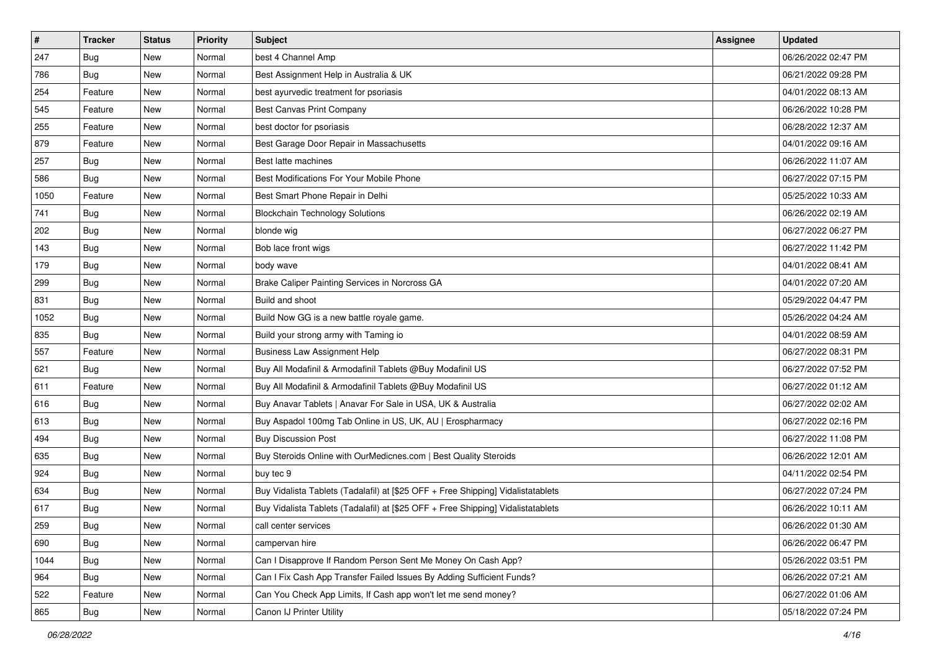| $\vert$ # | <b>Tracker</b> | <b>Status</b> | <b>Priority</b> | Subject                                                                          | Assignee | <b>Updated</b>      |
|-----------|----------------|---------------|-----------------|----------------------------------------------------------------------------------|----------|---------------------|
| 247       | <b>Bug</b>     | New           | Normal          | best 4 Channel Amp                                                               |          | 06/26/2022 02:47 PM |
| 786       | <b>Bug</b>     | New           | Normal          | Best Assignment Help in Australia & UK                                           |          | 06/21/2022 09:28 PM |
| 254       | Feature        | New           | Normal          | best ayurvedic treatment for psoriasis                                           |          | 04/01/2022 08:13 AM |
| 545       | Feature        | New           | Normal          | Best Canvas Print Company                                                        |          | 06/26/2022 10:28 PM |
| 255       | Feature        | New           | Normal          | best doctor for psoriasis                                                        |          | 06/28/2022 12:37 AM |
| 879       | Feature        | New           | Normal          | Best Garage Door Repair in Massachusetts                                         |          | 04/01/2022 09:16 AM |
| 257       | Bug            | New           | Normal          | Best latte machines                                                              |          | 06/26/2022 11:07 AM |
| 586       | Bug            | New           | Normal          | Best Modifications For Your Mobile Phone                                         |          | 06/27/2022 07:15 PM |
| 1050      | Feature        | New           | Normal          | Best Smart Phone Repair in Delhi                                                 |          | 05/25/2022 10:33 AM |
| 741       | Bug            | New           | Normal          | <b>Blockchain Technology Solutions</b>                                           |          | 06/26/2022 02:19 AM |
| 202       | <b>Bug</b>     | New           | Normal          | blonde wig                                                                       |          | 06/27/2022 06:27 PM |
| 143       | Bug            | New           | Normal          | Bob lace front wigs                                                              |          | 06/27/2022 11:42 PM |
| 179       | Bug            | New           | Normal          | body wave                                                                        |          | 04/01/2022 08:41 AM |
| 299       | <b>Bug</b>     | New           | Normal          | Brake Caliper Painting Services in Norcross GA                                   |          | 04/01/2022 07:20 AM |
| 831       | <b>Bug</b>     | New           | Normal          | Build and shoot                                                                  |          | 05/29/2022 04:47 PM |
| 1052      | Bug            | New           | Normal          | Build Now GG is a new battle royale game.                                        |          | 05/26/2022 04:24 AM |
| 835       | Bug            | New           | Normal          | Build your strong army with Taming io                                            |          | 04/01/2022 08:59 AM |
| 557       | Feature        | New           | Normal          | <b>Business Law Assignment Help</b>                                              |          | 06/27/2022 08:31 PM |
| 621       | Bug            | New           | Normal          | Buy All Modafinil & Armodafinil Tablets @Buy Modafinil US                        |          | 06/27/2022 07:52 PM |
| 611       | Feature        | New           | Normal          | Buy All Modafinil & Armodafinil Tablets @Buy Modafinil US                        |          | 06/27/2022 01:12 AM |
| 616       | <b>Bug</b>     | New           | Normal          | Buy Anavar Tablets   Anavar For Sale in USA, UK & Australia                      |          | 06/27/2022 02:02 AM |
| 613       | Bug            | New           | Normal          | Buy Aspadol 100mg Tab Online in US, UK, AU   Erospharmacy                        |          | 06/27/2022 02:16 PM |
| 494       | Bug            | New           | Normal          | <b>Buy Discussion Post</b>                                                       |          | 06/27/2022 11:08 PM |
| 635       | <b>Bug</b>     | New           | Normal          | Buy Steroids Online with OurMedicnes.com   Best Quality Steroids                 |          | 06/26/2022 12:01 AM |
| 924       | Bug            | New           | Normal          | buy tec 9                                                                        |          | 04/11/2022 02:54 PM |
| 634       | Bug            | New           | Normal          | Buy Vidalista Tablets (Tadalafil) at [\$25 OFF + Free Shipping] Vidalistatablets |          | 06/27/2022 07:24 PM |
| 617       | <b>Bug</b>     | New           | Normal          | Buy Vidalista Tablets (Tadalafil) at [\$25 OFF + Free Shipping] Vidalistatablets |          | 06/26/2022 10:11 AM |
| 259       | <b>Bug</b>     | New           | Normal          | call center services                                                             |          | 06/26/2022 01:30 AM |
| 690       | Bug            | New           | Normal          | campervan hire                                                                   |          | 06/26/2022 06:47 PM |
| 1044      | Bug            | New           | Normal          | Can I Disapprove If Random Person Sent Me Money On Cash App?                     |          | 05/26/2022 03:51 PM |
| 964       | Bug            | New           | Normal          | Can I Fix Cash App Transfer Failed Issues By Adding Sufficient Funds?            |          | 06/26/2022 07:21 AM |
| 522       | Feature        | New           | Normal          | Can You Check App Limits, If Cash app won't let me send money?                   |          | 06/27/2022 01:06 AM |
| 865       | <b>Bug</b>     | New           | Normal          | Canon IJ Printer Utility                                                         |          | 05/18/2022 07:24 PM |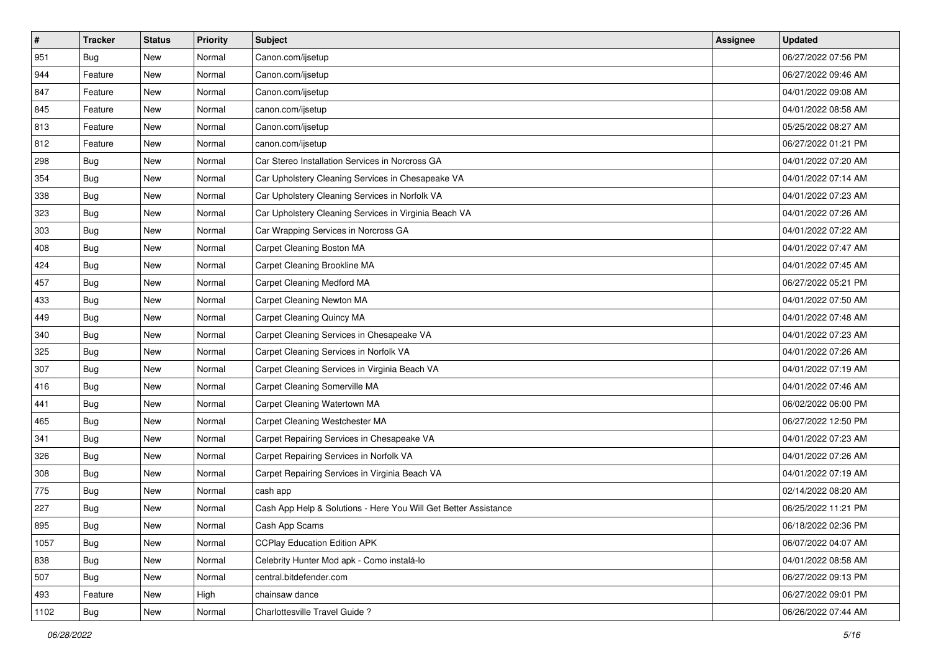| $\vert$ # | <b>Tracker</b> | <b>Status</b> | Priority | <b>Subject</b>                                                  | Assignee | <b>Updated</b>      |
|-----------|----------------|---------------|----------|-----------------------------------------------------------------|----------|---------------------|
| 951       | <b>Bug</b>     | New           | Normal   | Canon.com/ijsetup                                               |          | 06/27/2022 07:56 PM |
| 944       | Feature        | New           | Normal   | Canon.com/ijsetup                                               |          | 06/27/2022 09:46 AM |
| 847       | Feature        | New           | Normal   | Canon.com/ijsetup                                               |          | 04/01/2022 09:08 AM |
| 845       | Feature        | New           | Normal   | canon.com/ijsetup                                               |          | 04/01/2022 08:58 AM |
| 813       | Feature        | New           | Normal   | Canon.com/ijsetup                                               |          | 05/25/2022 08:27 AM |
| 812       | Feature        | New           | Normal   | canon.com/ijsetup                                               |          | 06/27/2022 01:21 PM |
| 298       | Bug            | New           | Normal   | Car Stereo Installation Services in Norcross GA                 |          | 04/01/2022 07:20 AM |
| 354       | Bug            | New           | Normal   | Car Upholstery Cleaning Services in Chesapeake VA               |          | 04/01/2022 07:14 AM |
| 338       | <b>Bug</b>     | New           | Normal   | Car Upholstery Cleaning Services in Norfolk VA                  |          | 04/01/2022 07:23 AM |
| 323       | Bug            | New           | Normal   | Car Upholstery Cleaning Services in Virginia Beach VA           |          | 04/01/2022 07:26 AM |
| 303       | <b>Bug</b>     | New           | Normal   | Car Wrapping Services in Norcross GA                            |          | 04/01/2022 07:22 AM |
| 408       | Bug            | New           | Normal   | Carpet Cleaning Boston MA                                       |          | 04/01/2022 07:47 AM |
| 424       | <b>Bug</b>     | New           | Normal   | Carpet Cleaning Brookline MA                                    |          | 04/01/2022 07:45 AM |
| 457       | Bug            | New           | Normal   | Carpet Cleaning Medford MA                                      |          | 06/27/2022 05:21 PM |
| 433       | <b>Bug</b>     | New           | Normal   | Carpet Cleaning Newton MA                                       |          | 04/01/2022 07:50 AM |
| 449       | Bug            | New           | Normal   | Carpet Cleaning Quincy MA                                       |          | 04/01/2022 07:48 AM |
| 340       | <b>Bug</b>     | New           | Normal   | Carpet Cleaning Services in Chesapeake VA                       |          | 04/01/2022 07:23 AM |
| 325       | Bug            | New           | Normal   | Carpet Cleaning Services in Norfolk VA                          |          | 04/01/2022 07:26 AM |
| 307       | Bug            | New           | Normal   | Carpet Cleaning Services in Virginia Beach VA                   |          | 04/01/2022 07:19 AM |
| 416       | <b>Bug</b>     | New           | Normal   | Carpet Cleaning Somerville MA                                   |          | 04/01/2022 07:46 AM |
| 441       | <b>Bug</b>     | New           | Normal   | Carpet Cleaning Watertown MA                                    |          | 06/02/2022 06:00 PM |
| 465       | <b>Bug</b>     | New           | Normal   | Carpet Cleaning Westchester MA                                  |          | 06/27/2022 12:50 PM |
| 341       | Bug            | New           | Normal   | Carpet Repairing Services in Chesapeake VA                      |          | 04/01/2022 07:23 AM |
| 326       | <b>Bug</b>     | New           | Normal   | Carpet Repairing Services in Norfolk VA                         |          | 04/01/2022 07:26 AM |
| 308       | <b>Bug</b>     | New           | Normal   | Carpet Repairing Services in Virginia Beach VA                  |          | 04/01/2022 07:19 AM |
| 775       | Bug            | New           | Normal   | cash app                                                        |          | 02/14/2022 08:20 AM |
| 227       | <b>Bug</b>     | New           | Normal   | Cash App Help & Solutions - Here You Will Get Better Assistance |          | 06/25/2022 11:21 PM |
| 895       | Bug            | New           | Normal   | Cash App Scams                                                  |          | 06/18/2022 02:36 PM |
| 1057      | Bug            | New           | Normal   | <b>CCPlay Education Edition APK</b>                             |          | 06/07/2022 04:07 AM |
| 838       | Bug            | New           | Normal   | Celebrity Hunter Mod apk - Como instalá-lo                      |          | 04/01/2022 08:58 AM |
| 507       | Bug            | New           | Normal   | central.bitdefender.com                                         |          | 06/27/2022 09:13 PM |
| 493       | Feature        | New           | High     | chainsaw dance                                                  |          | 06/27/2022 09:01 PM |
| 1102      | <b>Bug</b>     | New           | Normal   | Charlottesville Travel Guide?                                   |          | 06/26/2022 07:44 AM |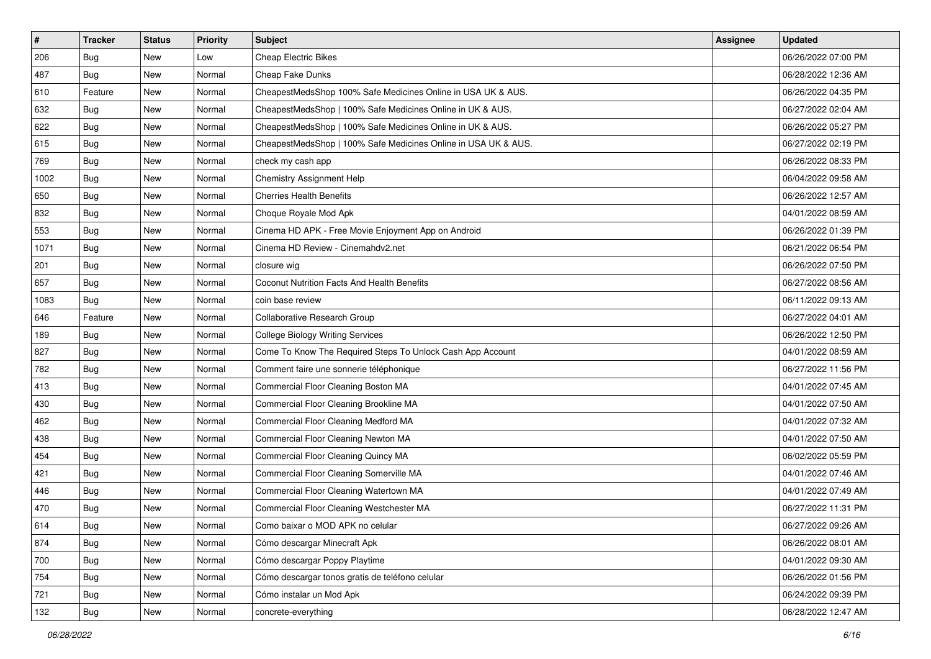| #    | <b>Tracker</b> | <b>Status</b> | <b>Priority</b> | <b>Subject</b>                                                 | Assignee | <b>Updated</b>      |
|------|----------------|---------------|-----------------|----------------------------------------------------------------|----------|---------------------|
| 206  | <b>Bug</b>     | New           | Low             | <b>Cheap Electric Bikes</b>                                    |          | 06/26/2022 07:00 PM |
| 487  | Bug            | New           | Normal          | Cheap Fake Dunks                                               |          | 06/28/2022 12:36 AM |
| 610  | Feature        | New           | Normal          | CheapestMedsShop 100% Safe Medicines Online in USA UK & AUS.   |          | 06/26/2022 04:35 PM |
| 632  | <b>Bug</b>     | New           | Normal          | CheapestMedsShop   100% Safe Medicines Online in UK & AUS.     |          | 06/27/2022 02:04 AM |
| 622  | Bug            | New           | Normal          | CheapestMedsShop   100% Safe Medicines Online in UK & AUS.     |          | 06/26/2022 05:27 PM |
| 615  | <b>Bug</b>     | New           | Normal          | CheapestMedsShop   100% Safe Medicines Online in USA UK & AUS. |          | 06/27/2022 02:19 PM |
| 769  | <b>Bug</b>     | New           | Normal          | check my cash app                                              |          | 06/26/2022 08:33 PM |
| 1002 | Bug            | New           | Normal          | Chemistry Assignment Help                                      |          | 06/04/2022 09:58 AM |
| 650  | Bug            | New           | Normal          | <b>Cherries Health Benefits</b>                                |          | 06/26/2022 12:57 AM |
| 832  | Bug            | New           | Normal          | Choque Royale Mod Apk                                          |          | 04/01/2022 08:59 AM |
| 553  | <b>Bug</b>     | New           | Normal          | Cinema HD APK - Free Movie Enjoyment App on Android            |          | 06/26/2022 01:39 PM |
| 1071 | <b>Bug</b>     | New           | Normal          | Cinema HD Review - Cinemahdv2.net                              |          | 06/21/2022 06:54 PM |
| 201  | Bug            | New           | Normal          | closure wig                                                    |          | 06/26/2022 07:50 PM |
| 657  | Bug            | New           | Normal          | Coconut Nutrition Facts And Health Benefits                    |          | 06/27/2022 08:56 AM |
| 1083 | <b>Bug</b>     | New           | Normal          | coin base review                                               |          | 06/11/2022 09:13 AM |
| 646  | Feature        | New           | Normal          | Collaborative Research Group                                   |          | 06/27/2022 04:01 AM |
| 189  | <b>Bug</b>     | New           | Normal          | <b>College Biology Writing Services</b>                        |          | 06/26/2022 12:50 PM |
| 827  | Bug            | New           | Normal          | Come To Know The Required Steps To Unlock Cash App Account     |          | 04/01/2022 08:59 AM |
| 782  | <b>Bug</b>     | New           | Normal          | Comment faire une sonnerie téléphonique                        |          | 06/27/2022 11:56 PM |
| 413  | Bug            | New           | Normal          | Commercial Floor Cleaning Boston MA                            |          | 04/01/2022 07:45 AM |
| 430  | Bug            | New           | Normal          | Commercial Floor Cleaning Brookline MA                         |          | 04/01/2022 07:50 AM |
| 462  | Bug            | New           | Normal          | Commercial Floor Cleaning Medford MA                           |          | 04/01/2022 07:32 AM |
| 438  | Bug            | New           | Normal          | Commercial Floor Cleaning Newton MA                            |          | 04/01/2022 07:50 AM |
| 454  | <b>Bug</b>     | New           | Normal          | Commercial Floor Cleaning Quincy MA                            |          | 06/02/2022 05:59 PM |
| 421  | <b>Bug</b>     | New           | Normal          | Commercial Floor Cleaning Somerville MA                        |          | 04/01/2022 07:46 AM |
| 446  | Bug            | New           | Normal          | Commercial Floor Cleaning Watertown MA                         |          | 04/01/2022 07:49 AM |
| 470  | <b>Bug</b>     | New           | Normal          | Commercial Floor Cleaning Westchester MA                       |          | 06/27/2022 11:31 PM |
| 614  | Bug            | New           | Normal          | Como baixar o MOD APK no celular                               |          | 06/27/2022 09:26 AM |
| 874  | Bug            | New           | Normal          | Cómo descargar Minecraft Apk                                   |          | 06/26/2022 08:01 AM |
| 700  | <b>Bug</b>     | New           | Normal          | Cómo descargar Poppy Playtime                                  |          | 04/01/2022 09:30 AM |
| 754  | Bug            | New           | Normal          | Cómo descargar tonos gratis de teléfono celular                |          | 06/26/2022 01:56 PM |
| 721  | <b>Bug</b>     | New           | Normal          | Cómo instalar un Mod Apk                                       |          | 06/24/2022 09:39 PM |
| 132  | <b>Bug</b>     | New           | Normal          | concrete-everything                                            |          | 06/28/2022 12:47 AM |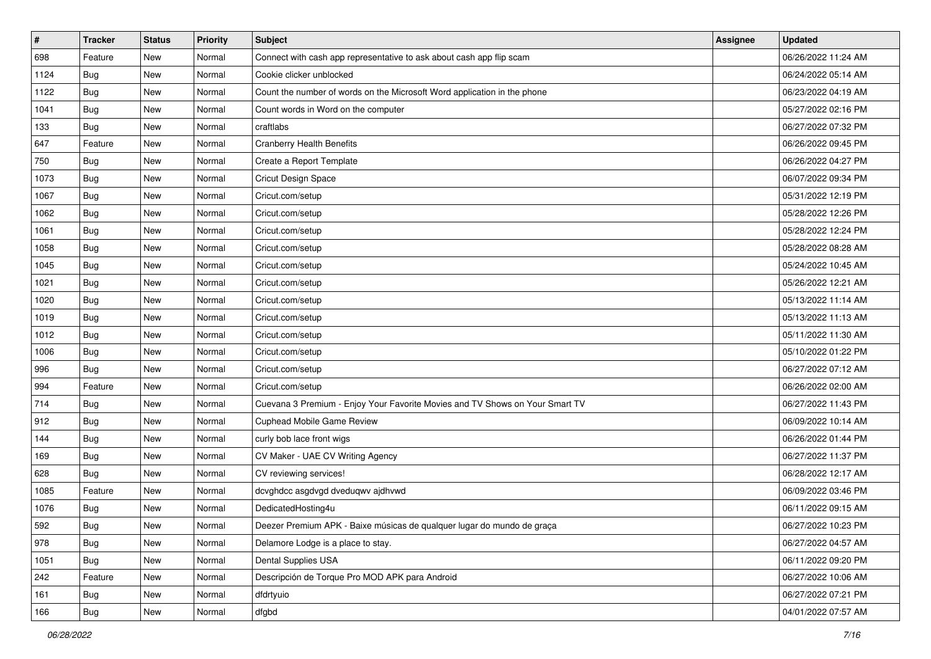| #    | <b>Tracker</b> | <b>Status</b> | <b>Priority</b> | <b>Subject</b>                                                               | Assignee | <b>Updated</b>      |
|------|----------------|---------------|-----------------|------------------------------------------------------------------------------|----------|---------------------|
| 698  | Feature        | New           | Normal          | Connect with cash app representative to ask about cash app flip scam         |          | 06/26/2022 11:24 AM |
| 1124 | Bug            | New           | Normal          | Cookie clicker unblocked                                                     |          | 06/24/2022 05:14 AM |
| 1122 | <b>Bug</b>     | New           | Normal          | Count the number of words on the Microsoft Word application in the phone     |          | 06/23/2022 04:19 AM |
| 1041 | <b>Bug</b>     | New           | Normal          | Count words in Word on the computer                                          |          | 05/27/2022 02:16 PM |
| 133  | <b>Bug</b>     | New           | Normal          | craftlabs                                                                    |          | 06/27/2022 07:32 PM |
| 647  | Feature        | <b>New</b>    | Normal          | <b>Cranberry Health Benefits</b>                                             |          | 06/26/2022 09:45 PM |
| 750  | Bug            | New           | Normal          | Create a Report Template                                                     |          | 06/26/2022 04:27 PM |
| 1073 | Bug            | New           | Normal          | Cricut Design Space                                                          |          | 06/07/2022 09:34 PM |
| 1067 | Bug            | New           | Normal          | Cricut.com/setup                                                             |          | 05/31/2022 12:19 PM |
| 1062 | Bug            | New           | Normal          | Cricut.com/setup                                                             |          | 05/28/2022 12:26 PM |
| 1061 | Bug            | New           | Normal          | Cricut.com/setup                                                             |          | 05/28/2022 12:24 PM |
| 1058 | <b>Bug</b>     | New           | Normal          | Cricut.com/setup                                                             |          | 05/28/2022 08:28 AM |
| 1045 | Bug            | New           | Normal          | Cricut.com/setup                                                             |          | 05/24/2022 10:45 AM |
| 1021 | <b>Bug</b>     | New           | Normal          | Cricut.com/setup                                                             |          | 05/26/2022 12:21 AM |
| 1020 | Bug            | New           | Normal          | Cricut.com/setup                                                             |          | 05/13/2022 11:14 AM |
| 1019 | <b>Bug</b>     | New           | Normal          | Cricut.com/setup                                                             |          | 05/13/2022 11:13 AM |
| 1012 | <b>Bug</b>     | New           | Normal          | Cricut.com/setup                                                             |          | 05/11/2022 11:30 AM |
| 1006 | Bug            | New           | Normal          | Cricut.com/setup                                                             |          | 05/10/2022 01:22 PM |
| 996  | <b>Bug</b>     | New           | Normal          | Cricut.com/setup                                                             |          | 06/27/2022 07:12 AM |
| 994  | Feature        | <b>New</b>    | Normal          | Cricut.com/setup                                                             |          | 06/26/2022 02:00 AM |
| 714  | <b>Bug</b>     | New           | Normal          | Cuevana 3 Premium - Enjoy Your Favorite Movies and TV Shows on Your Smart TV |          | 06/27/2022 11:43 PM |
| 912  | <b>Bug</b>     | New           | Normal          | <b>Cuphead Mobile Game Review</b>                                            |          | 06/09/2022 10:14 AM |
| 144  | Bug            | New           | Normal          | curly bob lace front wigs                                                    |          | 06/26/2022 01:44 PM |
| 169  | <b>Bug</b>     | New           | Normal          | CV Maker - UAE CV Writing Agency                                             |          | 06/27/2022 11:37 PM |
| 628  | Bug            | New           | Normal          | CV reviewing services!                                                       |          | 06/28/2022 12:17 AM |
| 1085 | Feature        | New           | Normal          | dcvghdcc asgdvgd dveduqwv ajdhvwd                                            |          | 06/09/2022 03:46 PM |
| 1076 | <b>Bug</b>     | New           | Normal          | DedicatedHosting4u                                                           |          | 06/11/2022 09:15 AM |
| 592  | <b>Bug</b>     | New           | Normal          | Deezer Premium APK - Baixe músicas de qualquer lugar do mundo de graça       |          | 06/27/2022 10:23 PM |
| 978  | Bug            | New           | Normal          | Delamore Lodge is a place to stay.                                           |          | 06/27/2022 04:57 AM |
| 1051 | Bug            | New           | Normal          | Dental Supplies USA                                                          |          | 06/11/2022 09:20 PM |
| 242  | Feature        | <b>New</b>    | Normal          | Descripción de Torque Pro MOD APK para Android                               |          | 06/27/2022 10:06 AM |
| 161  | <b>Bug</b>     | New           | Normal          | dfdrtyuio                                                                    |          | 06/27/2022 07:21 PM |
| 166  | <b>Bug</b>     | New           | Normal          | dfgbd                                                                        |          | 04/01/2022 07:57 AM |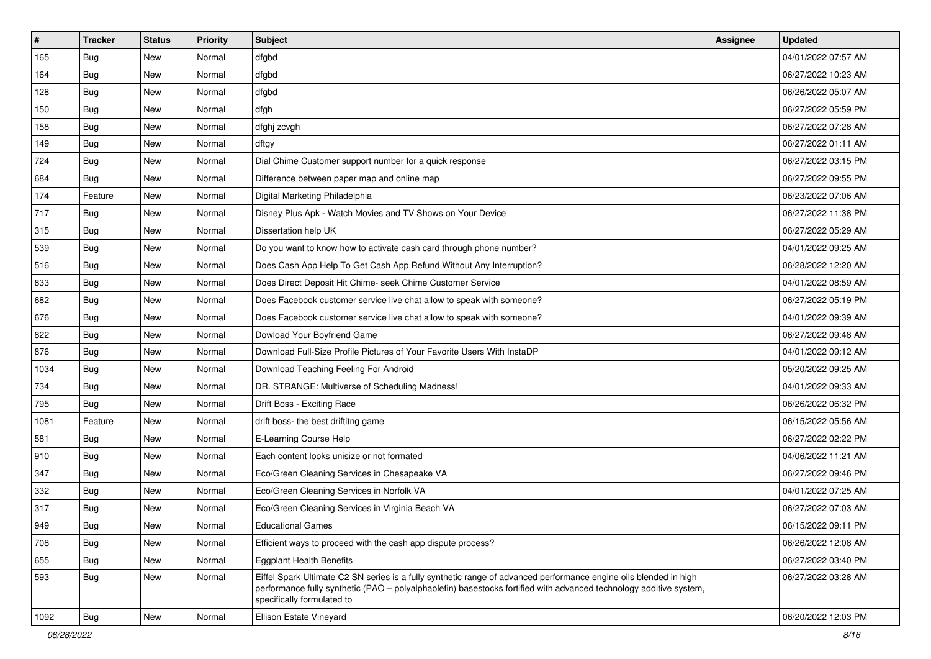| $\vert$ # | <b>Tracker</b> | <b>Status</b> | <b>Priority</b> | Subject                                                                                                                                                                                                                                                               | Assignee | <b>Updated</b>      |
|-----------|----------------|---------------|-----------------|-----------------------------------------------------------------------------------------------------------------------------------------------------------------------------------------------------------------------------------------------------------------------|----------|---------------------|
| 165       | Bug            | New           | Normal          | dfgbd                                                                                                                                                                                                                                                                 |          | 04/01/2022 07:57 AM |
| 164       | Bug            | New           | Normal          | dfgbd                                                                                                                                                                                                                                                                 |          | 06/27/2022 10:23 AM |
| 128       | Bug            | New           | Normal          | dfgbd                                                                                                                                                                                                                                                                 |          | 06/26/2022 05:07 AM |
| 150       | Bug            | New           | Normal          | dfgh                                                                                                                                                                                                                                                                  |          | 06/27/2022 05:59 PM |
| 158       | Bug            | New           | Normal          | dfghj zcvgh                                                                                                                                                                                                                                                           |          | 06/27/2022 07:28 AM |
| 149       | <b>Bug</b>     | New           | Normal          | dftgy                                                                                                                                                                                                                                                                 |          | 06/27/2022 01:11 AM |
| 724       | Bug            | New           | Normal          | Dial Chime Customer support number for a quick response                                                                                                                                                                                                               |          | 06/27/2022 03:15 PM |
| 684       | Bug            | New           | Normal          | Difference between paper map and online map                                                                                                                                                                                                                           |          | 06/27/2022 09:55 PM |
| 174       | Feature        | <b>New</b>    | Normal          | Digital Marketing Philadelphia                                                                                                                                                                                                                                        |          | 06/23/2022 07:06 AM |
| 717       | Bug            | New           | Normal          | Disney Plus Apk - Watch Movies and TV Shows on Your Device                                                                                                                                                                                                            |          | 06/27/2022 11:38 PM |
| 315       | <b>Bug</b>     | New           | Normal          | Dissertation help UK                                                                                                                                                                                                                                                  |          | 06/27/2022 05:29 AM |
| 539       | Bug            | New           | Normal          | Do you want to know how to activate cash card through phone number?                                                                                                                                                                                                   |          | 04/01/2022 09:25 AM |
| 516       | Bug            | New           | Normal          | Does Cash App Help To Get Cash App Refund Without Any Interruption?                                                                                                                                                                                                   |          | 06/28/2022 12:20 AM |
| 833       | Bug            | New           | Normal          | Does Direct Deposit Hit Chime- seek Chime Customer Service                                                                                                                                                                                                            |          | 04/01/2022 08:59 AM |
| 682       | Bug            | New           | Normal          | Does Facebook customer service live chat allow to speak with someone?                                                                                                                                                                                                 |          | 06/27/2022 05:19 PM |
| 676       | Bug            | New           | Normal          | Does Facebook customer service live chat allow to speak with someone?                                                                                                                                                                                                 |          | 04/01/2022 09:39 AM |
| 822       | Bug            | New           | Normal          | Dowload Your Boyfriend Game                                                                                                                                                                                                                                           |          | 06/27/2022 09:48 AM |
| 876       | Bug            | New           | Normal          | Download Full-Size Profile Pictures of Your Favorite Users With InstaDP                                                                                                                                                                                               |          | 04/01/2022 09:12 AM |
| 1034      | <b>Bug</b>     | New           | Normal          | Download Teaching Feeling For Android                                                                                                                                                                                                                                 |          | 05/20/2022 09:25 AM |
| 734       | Bug            | New           | Normal          | DR. STRANGE: Multiverse of Scheduling Madness!                                                                                                                                                                                                                        |          | 04/01/2022 09:33 AM |
| 795       | Bug            | New           | Normal          | Drift Boss - Exciting Race                                                                                                                                                                                                                                            |          | 06/26/2022 06:32 PM |
| 1081      | Feature        | <b>New</b>    | Normal          | drift boss- the best driftitng game                                                                                                                                                                                                                                   |          | 06/15/2022 05:56 AM |
| 581       | Bug            | New           | Normal          | E-Learning Course Help                                                                                                                                                                                                                                                |          | 06/27/2022 02:22 PM |
| 910       | <b>Bug</b>     | New           | Normal          | Each content looks unisize or not formated                                                                                                                                                                                                                            |          | 04/06/2022 11:21 AM |
| 347       | Bug            | New           | Normal          | Eco/Green Cleaning Services in Chesapeake VA                                                                                                                                                                                                                          |          | 06/27/2022 09:46 PM |
| 332       | Bug            | New           | Normal          | Eco/Green Cleaning Services in Norfolk VA                                                                                                                                                                                                                             |          | 04/01/2022 07:25 AM |
| 317       | <b>Bug</b>     | New           | Normal          | Eco/Green Cleaning Services in Virginia Beach VA                                                                                                                                                                                                                      |          | 06/27/2022 07:03 AM |
| 949       | <b>Bug</b>     | New           | Normal          | <b>Educational Games</b>                                                                                                                                                                                                                                              |          | 06/15/2022 09:11 PM |
| 708       | Bug            | New           | Normal          | Efficient ways to proceed with the cash app dispute process?                                                                                                                                                                                                          |          | 06/26/2022 12:08 AM |
| 655       | Bug            | <b>New</b>    | Normal          | <b>Eggplant Health Benefits</b>                                                                                                                                                                                                                                       |          | 06/27/2022 03:40 PM |
| 593       | Bug            | <b>New</b>    | Normal          | Eiffel Spark Ultimate C2 SN series is a fully synthetic range of advanced performance engine oils blended in high<br>performance fully synthetic (PAO - polyalphaolefin) basestocks fortified with advanced technology additive system,<br>specifically formulated to |          | 06/27/2022 03:28 AM |
| 1092      | <b>Bug</b>     | New           | Normal          | Ellison Estate Vineyard                                                                                                                                                                                                                                               |          | 06/20/2022 12:03 PM |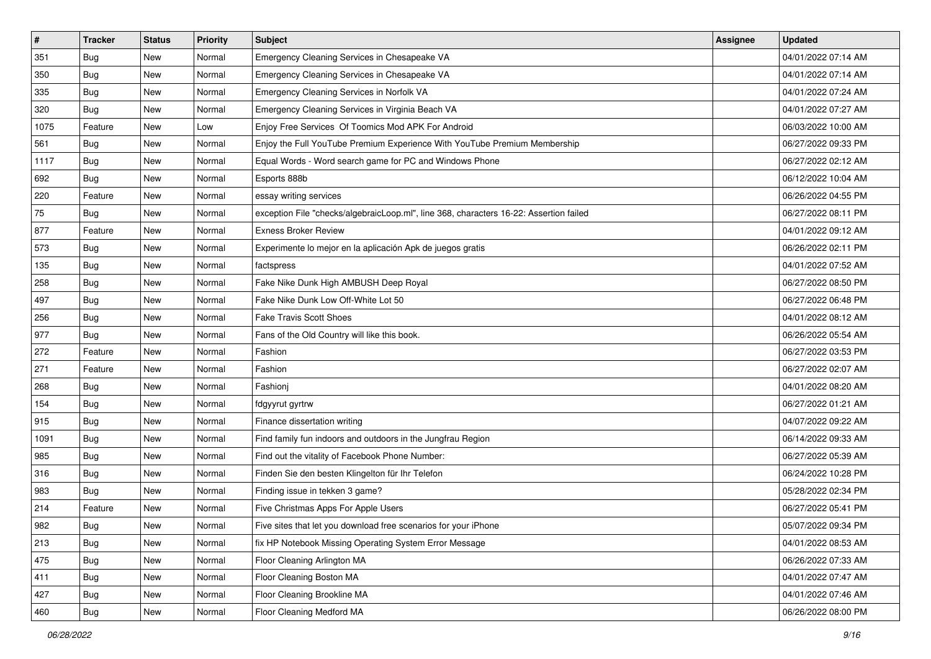| $\vert$ # | <b>Tracker</b> | <b>Status</b> | Priority | <b>Subject</b>                                                                         | <b>Assignee</b> | <b>Updated</b>      |
|-----------|----------------|---------------|----------|----------------------------------------------------------------------------------------|-----------------|---------------------|
| 351       | <b>Bug</b>     | New           | Normal   | Emergency Cleaning Services in Chesapeake VA                                           |                 | 04/01/2022 07:14 AM |
| 350       | Bug            | New           | Normal   | Emergency Cleaning Services in Chesapeake VA                                           |                 | 04/01/2022 07:14 AM |
| 335       | Bug            | New           | Normal   | Emergency Cleaning Services in Norfolk VA                                              |                 | 04/01/2022 07:24 AM |
| 320       | <b>Bug</b>     | New           | Normal   | Emergency Cleaning Services in Virginia Beach VA                                       |                 | 04/01/2022 07:27 AM |
| 1075      | Feature        | New           | Low      | Enjoy Free Services Of Toomics Mod APK For Android                                     |                 | 06/03/2022 10:00 AM |
| 561       | <b>Bug</b>     | New           | Normal   | Enjoy the Full YouTube Premium Experience With YouTube Premium Membership              |                 | 06/27/2022 09:33 PM |
| 1117      | Bug            | New           | Normal   | Equal Words - Word search game for PC and Windows Phone                                |                 | 06/27/2022 02:12 AM |
| 692       | Bug            | New           | Normal   | Esports 888b                                                                           |                 | 06/12/2022 10:04 AM |
| 220       | Feature        | New           | Normal   | essay writing services                                                                 |                 | 06/26/2022 04:55 PM |
| 75        | Bug            | New           | Normal   | exception File "checks/algebraicLoop.ml", line 368, characters 16-22: Assertion failed |                 | 06/27/2022 08:11 PM |
| 877       | Feature        | New           | Normal   | <b>Exness Broker Review</b>                                                            |                 | 04/01/2022 09:12 AM |
| 573       | Bug            | New           | Normal   | Experimente lo mejor en la aplicación Apk de juegos gratis                             |                 | 06/26/2022 02:11 PM |
| 135       | Bug            | New           | Normal   | factspress                                                                             |                 | 04/01/2022 07:52 AM |
| 258       | Bug            | New           | Normal   | Fake Nike Dunk High AMBUSH Deep Royal                                                  |                 | 06/27/2022 08:50 PM |
| 497       | <b>Bug</b>     | New           | Normal   | Fake Nike Dunk Low Off-White Lot 50                                                    |                 | 06/27/2022 06:48 PM |
| 256       | Bug            | New           | Normal   | <b>Fake Travis Scott Shoes</b>                                                         |                 | 04/01/2022 08:12 AM |
| 977       | <b>Bug</b>     | New           | Normal   | Fans of the Old Country will like this book.                                           |                 | 06/26/2022 05:54 AM |
| 272       | Feature        | New           | Normal   | Fashion                                                                                |                 | 06/27/2022 03:53 PM |
| 271       | Feature        | New           | Normal   | Fashion                                                                                |                 | 06/27/2022 02:07 AM |
| 268       | <b>Bug</b>     | New           | Normal   | Fashioni                                                                               |                 | 04/01/2022 08:20 AM |
| 154       | <b>Bug</b>     | New           | Normal   | fdgyyrut gyrtrw                                                                        |                 | 06/27/2022 01:21 AM |
| 915       | <b>Bug</b>     | New           | Normal   | Finance dissertation writing                                                           |                 | 04/07/2022 09:22 AM |
| 1091      | Bug            | New           | Normal   | Find family fun indoors and outdoors in the Jungfrau Region                            |                 | 06/14/2022 09:33 AM |
| 985       | <b>Bug</b>     | New           | Normal   | Find out the vitality of Facebook Phone Number:                                        |                 | 06/27/2022 05:39 AM |
| 316       | Bug            | New           | Normal   | Finden Sie den besten Klingelton für Ihr Telefon                                       |                 | 06/24/2022 10:28 PM |
| 983       | <b>Bug</b>     | New           | Normal   | Finding issue in tekken 3 game?                                                        |                 | 05/28/2022 02:34 PM |
| 214       | Feature        | New           | Normal   | Five Christmas Apps For Apple Users                                                    |                 | 06/27/2022 05:41 PM |
| 982       | Bug            | New           | Normal   | Five sites that let you download free scenarios for your iPhone                        |                 | 05/07/2022 09:34 PM |
| 213       | Bug            | New           | Normal   | fix HP Notebook Missing Operating System Error Message                                 |                 | 04/01/2022 08:53 AM |
| 475       | Bug            | New           | Normal   | Floor Cleaning Arlington MA                                                            |                 | 06/26/2022 07:33 AM |
| 411       | <b>Bug</b>     | New           | Normal   | Floor Cleaning Boston MA                                                               |                 | 04/01/2022 07:47 AM |
| 427       | <b>Bug</b>     | New           | Normal   | Floor Cleaning Brookline MA                                                            |                 | 04/01/2022 07:46 AM |
| 460       | <b>Bug</b>     | New           | Normal   | Floor Cleaning Medford MA                                                              |                 | 06/26/2022 08:00 PM |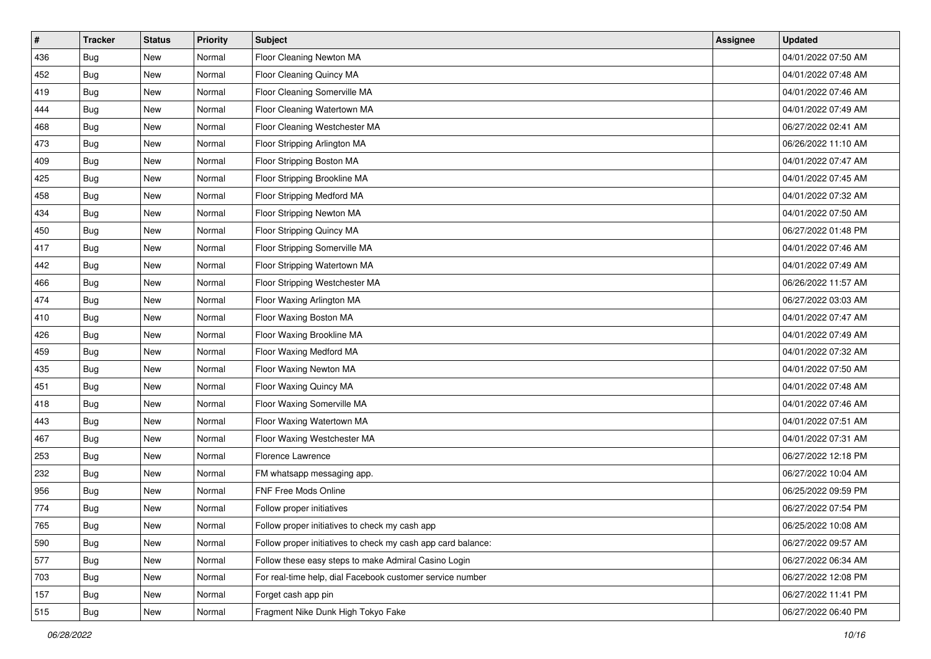| #   | <b>Tracker</b> | <b>Status</b> | <b>Priority</b> | <b>Subject</b>                                               | Assignee | <b>Updated</b>      |
|-----|----------------|---------------|-----------------|--------------------------------------------------------------|----------|---------------------|
| 436 | <b>Bug</b>     | New           | Normal          | Floor Cleaning Newton MA                                     |          | 04/01/2022 07:50 AM |
| 452 | Bug            | New           | Normal          | Floor Cleaning Quincy MA                                     |          | 04/01/2022 07:48 AM |
| 419 | Bug            | New           | Normal          | Floor Cleaning Somerville MA                                 |          | 04/01/2022 07:46 AM |
| 444 | <b>Bug</b>     | New           | Normal          | Floor Cleaning Watertown MA                                  |          | 04/01/2022 07:49 AM |
| 468 | <b>Bug</b>     | New           | Normal          | Floor Cleaning Westchester MA                                |          | 06/27/2022 02:41 AM |
| 473 | <b>Bug</b>     | New           | Normal          | Floor Stripping Arlington MA                                 |          | 06/26/2022 11:10 AM |
| 409 | <b>Bug</b>     | New           | Normal          | Floor Stripping Boston MA                                    |          | 04/01/2022 07:47 AM |
| 425 | <b>Bug</b>     | New           | Normal          | Floor Stripping Brookline MA                                 |          | 04/01/2022 07:45 AM |
| 458 | <b>Bug</b>     | New           | Normal          | Floor Stripping Medford MA                                   |          | 04/01/2022 07:32 AM |
| 434 | Bug            | New           | Normal          | Floor Stripping Newton MA                                    |          | 04/01/2022 07:50 AM |
| 450 | <b>Bug</b>     | New           | Normal          | Floor Stripping Quincy MA                                    |          | 06/27/2022 01:48 PM |
| 417 | <b>Bug</b>     | New           | Normal          | Floor Stripping Somerville MA                                |          | 04/01/2022 07:46 AM |
| 442 | Bug            | New           | Normal          | Floor Stripping Watertown MA                                 |          | 04/01/2022 07:49 AM |
| 466 | <b>Bug</b>     | New           | Normal          | Floor Stripping Westchester MA                               |          | 06/26/2022 11:57 AM |
| 474 | <b>Bug</b>     | New           | Normal          | Floor Waxing Arlington MA                                    |          | 06/27/2022 03:03 AM |
| 410 | <b>Bug</b>     | New           | Normal          | Floor Waxing Boston MA                                       |          | 04/01/2022 07:47 AM |
| 426 | <b>Bug</b>     | New           | Normal          | Floor Waxing Brookline MA                                    |          | 04/01/2022 07:49 AM |
| 459 | <b>Bug</b>     | New           | Normal          | Floor Waxing Medford MA                                      |          | 04/01/2022 07:32 AM |
| 435 | <b>Bug</b>     | New           | Normal          | Floor Waxing Newton MA                                       |          | 04/01/2022 07:50 AM |
| 451 | <b>Bug</b>     | New           | Normal          | Floor Waxing Quincy MA                                       |          | 04/01/2022 07:48 AM |
| 418 | Bug            | New           | Normal          | Floor Waxing Somerville MA                                   |          | 04/01/2022 07:46 AM |
| 443 | <b>Bug</b>     | New           | Normal          | Floor Waxing Watertown MA                                    |          | 04/01/2022 07:51 AM |
| 467 | Bug            | New           | Normal          | Floor Waxing Westchester MA                                  |          | 04/01/2022 07:31 AM |
| 253 | <b>Bug</b>     | New           | Normal          | Florence Lawrence                                            |          | 06/27/2022 12:18 PM |
| 232 | <b>Bug</b>     | New           | Normal          | FM whatsapp messaging app.                                   |          | 06/27/2022 10:04 AM |
| 956 | Bug            | New           | Normal          | FNF Free Mods Online                                         |          | 06/25/2022 09:59 PM |
| 774 | <b>Bug</b>     | New           | Normal          | Follow proper initiatives                                    |          | 06/27/2022 07:54 PM |
| 765 | Bug            | New           | Normal          | Follow proper initiatives to check my cash app               |          | 06/25/2022 10:08 AM |
| 590 | Bug            | New           | Normal          | Follow proper initiatives to check my cash app card balance: |          | 06/27/2022 09:57 AM |
| 577 | Bug            | New           | Normal          | Follow these easy steps to make Admiral Casino Login         |          | 06/27/2022 06:34 AM |
| 703 | <b>Bug</b>     | New           | Normal          | For real-time help, dial Facebook customer service number    |          | 06/27/2022 12:08 PM |
| 157 | <b>Bug</b>     | New           | Normal          | Forget cash app pin                                          |          | 06/27/2022 11:41 PM |
| 515 | Bug            | New           | Normal          | Fragment Nike Dunk High Tokyo Fake                           |          | 06/27/2022 06:40 PM |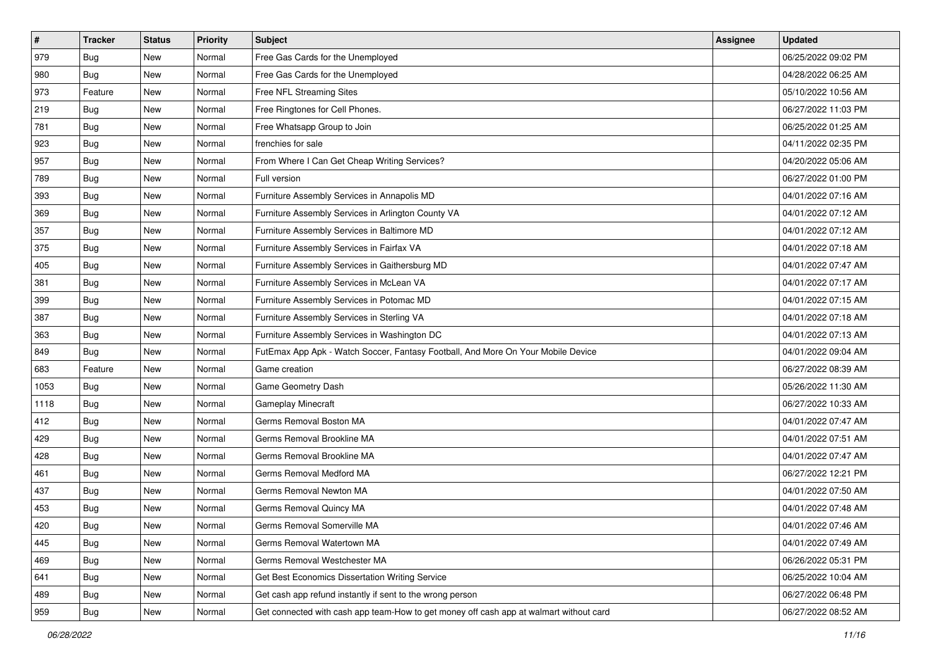| $\vert$ # | <b>Tracker</b> | <b>Status</b> | <b>Priority</b> | Subject                                                                                | Assignee | <b>Updated</b>      |
|-----------|----------------|---------------|-----------------|----------------------------------------------------------------------------------------|----------|---------------------|
| 979       | <b>Bug</b>     | New           | Normal          | Free Gas Cards for the Unemployed                                                      |          | 06/25/2022 09:02 PM |
| 980       | <b>Bug</b>     | New           | Normal          | Free Gas Cards for the Unemployed                                                      |          | 04/28/2022 06:25 AM |
| 973       | Feature        | New           | Normal          | Free NFL Streaming Sites                                                               |          | 05/10/2022 10:56 AM |
| 219       | Bug            | New           | Normal          | Free Ringtones for Cell Phones.                                                        |          | 06/27/2022 11:03 PM |
| 781       | Bug            | New           | Normal          | Free Whatsapp Group to Join                                                            |          | 06/25/2022 01:25 AM |
| 923       | <b>Bug</b>     | New           | Normal          | frenchies for sale                                                                     |          | 04/11/2022 02:35 PM |
| 957       | Bug            | New           | Normal          | From Where I Can Get Cheap Writing Services?                                           |          | 04/20/2022 05:06 AM |
| 789       | Bug            | New           | Normal          | Full version                                                                           |          | 06/27/2022 01:00 PM |
| 393       | <b>Bug</b>     | New           | Normal          | Furniture Assembly Services in Annapolis MD                                            |          | 04/01/2022 07:16 AM |
| 369       | Bug            | New           | Normal          | Furniture Assembly Services in Arlington County VA                                     |          | 04/01/2022 07:12 AM |
| 357       | <b>Bug</b>     | New           | Normal          | Furniture Assembly Services in Baltimore MD                                            |          | 04/01/2022 07:12 AM |
| 375       | Bug            | New           | Normal          | Furniture Assembly Services in Fairfax VA                                              |          | 04/01/2022 07:18 AM |
| 405       | Bug            | New           | Normal          | Furniture Assembly Services in Gaithersburg MD                                         |          | 04/01/2022 07:47 AM |
| 381       | <b>Bug</b>     | New           | Normal          | Furniture Assembly Services in McLean VA                                               |          | 04/01/2022 07:17 AM |
| 399       | <b>Bug</b>     | New           | Normal          | Furniture Assembly Services in Potomac MD                                              |          | 04/01/2022 07:15 AM |
| 387       | Bug            | New           | Normal          | Furniture Assembly Services in Sterling VA                                             |          | 04/01/2022 07:18 AM |
| 363       | <b>Bug</b>     | New           | Normal          | Furniture Assembly Services in Washington DC                                           |          | 04/01/2022 07:13 AM |
| 849       | Bug            | New           | Normal          | FutEmax App Apk - Watch Soccer, Fantasy Football, And More On Your Mobile Device       |          | 04/01/2022 09:04 AM |
| 683       | Feature        | New           | Normal          | Game creation                                                                          |          | 06/27/2022 08:39 AM |
| 1053      | <b>Bug</b>     | New           | Normal          | Game Geometry Dash                                                                     |          | 05/26/2022 11:30 AM |
| 1118      | Bug            | New           | Normal          | <b>Gameplay Minecraft</b>                                                              |          | 06/27/2022 10:33 AM |
| 412       | <b>Bug</b>     | New           | Normal          | Germs Removal Boston MA                                                                |          | 04/01/2022 07:47 AM |
| 429       | Bug            | New           | Normal          | Germs Removal Brookline MA                                                             |          | 04/01/2022 07:51 AM |
| 428       | <b>Bug</b>     | New           | Normal          | Germs Removal Brookline MA                                                             |          | 04/01/2022 07:47 AM |
| 461       | Bug            | New           | Normal          | Germs Removal Medford MA                                                               |          | 06/27/2022 12:21 PM |
| 437       | Bug            | New           | Normal          | Germs Removal Newton MA                                                                |          | 04/01/2022 07:50 AM |
| 453       | <b>Bug</b>     | New           | Normal          | Germs Removal Quincy MA                                                                |          | 04/01/2022 07:48 AM |
| 420       | I Bug          | New           | Normal          | Germs Removal Somerville MA                                                            |          | 04/01/2022 07:46 AM |
| 445       | <b>Bug</b>     | New           | Normal          | Germs Removal Watertown MA                                                             |          | 04/01/2022 07:49 AM |
| 469       | Bug            | New           | Normal          | Germs Removal Westchester MA                                                           |          | 06/26/2022 05:31 PM |
| 641       | Bug            | New           | Normal          | Get Best Economics Dissertation Writing Service                                        |          | 06/25/2022 10:04 AM |
| 489       | <b>Bug</b>     | New           | Normal          | Get cash app refund instantly if sent to the wrong person                              |          | 06/27/2022 06:48 PM |
| 959       | <b>Bug</b>     | New           | Normal          | Get connected with cash app team-How to get money off cash app at walmart without card |          | 06/27/2022 08:52 AM |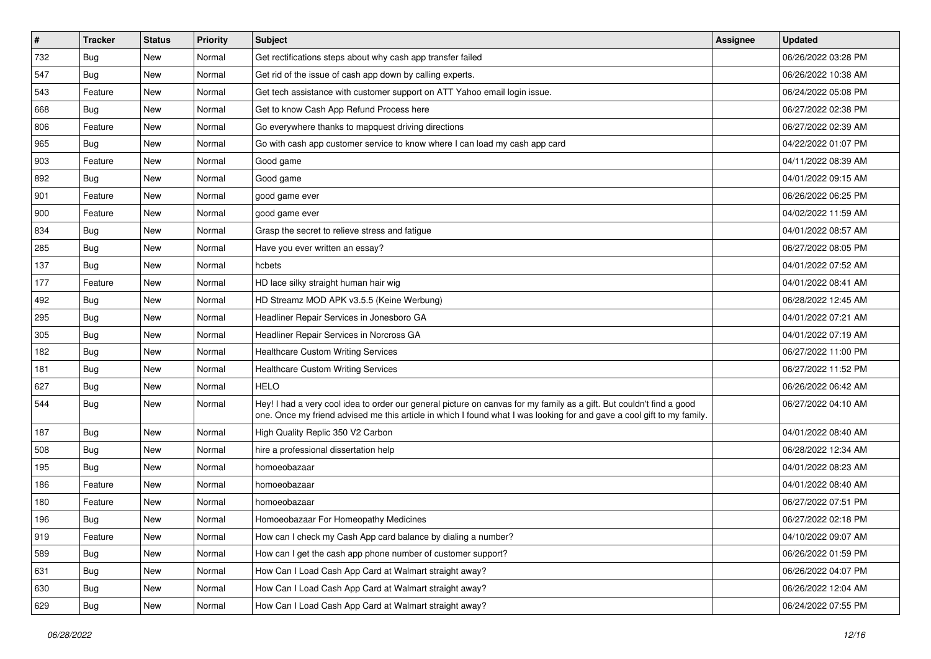| $\pmb{\#}$ | <b>Tracker</b> | <b>Status</b> | <b>Priority</b> | Subject                                                                                                                                                                                                                                        | Assignee | <b>Updated</b>      |
|------------|----------------|---------------|-----------------|------------------------------------------------------------------------------------------------------------------------------------------------------------------------------------------------------------------------------------------------|----------|---------------------|
| 732        | <b>Bug</b>     | New           | Normal          | Get rectifications steps about why cash app transfer failed                                                                                                                                                                                    |          | 06/26/2022 03:28 PM |
| 547        | <b>Bug</b>     | <b>New</b>    | Normal          | Get rid of the issue of cash app down by calling experts.                                                                                                                                                                                      |          | 06/26/2022 10:38 AM |
| 543        | Feature        | New           | Normal          | Get tech assistance with customer support on ATT Yahoo email login issue.                                                                                                                                                                      |          | 06/24/2022 05:08 PM |
| 668        | <b>Bug</b>     | New           | Normal          | Get to know Cash App Refund Process here                                                                                                                                                                                                       |          | 06/27/2022 02:38 PM |
| 806        | Feature        | New           | Normal          | Go everywhere thanks to mapquest driving directions                                                                                                                                                                                            |          | 06/27/2022 02:39 AM |
| 965        | <b>Bug</b>     | New           | Normal          | Go with cash app customer service to know where I can load my cash app card                                                                                                                                                                    |          | 04/22/2022 01:07 PM |
| 903        | Feature        | <b>New</b>    | Normal          | Good game                                                                                                                                                                                                                                      |          | 04/11/2022 08:39 AM |
| 892        | <b>Bug</b>     | New           | Normal          | Good game                                                                                                                                                                                                                                      |          | 04/01/2022 09:15 AM |
| 901        | Feature        | <b>New</b>    | Normal          | good game ever                                                                                                                                                                                                                                 |          | 06/26/2022 06:25 PM |
| 900        | Feature        | New           | Normal          | good game ever                                                                                                                                                                                                                                 |          | 04/02/2022 11:59 AM |
| 834        | <b>Bug</b>     | New           | Normal          | Grasp the secret to relieve stress and fatigue                                                                                                                                                                                                 |          | 04/01/2022 08:57 AM |
| 285        | <b>Bug</b>     | New           | Normal          | Have you ever written an essay?                                                                                                                                                                                                                |          | 06/27/2022 08:05 PM |
| 137        | Bug            | New           | Normal          | hcbets                                                                                                                                                                                                                                         |          | 04/01/2022 07:52 AM |
| 177        | Feature        | New           | Normal          | HD lace silky straight human hair wig                                                                                                                                                                                                          |          | 04/01/2022 08:41 AM |
| 492        | Bug            | New           | Normal          | HD Streamz MOD APK v3.5.5 (Keine Werbung)                                                                                                                                                                                                      |          | 06/28/2022 12:45 AM |
| 295        | <b>Bug</b>     | New           | Normal          | Headliner Repair Services in Jonesboro GA                                                                                                                                                                                                      |          | 04/01/2022 07:21 AM |
| 305        | <b>Bug</b>     | New           | Normal          | Headliner Repair Services in Norcross GA                                                                                                                                                                                                       |          | 04/01/2022 07:19 AM |
| 182        | Bug            | New           | Normal          | <b>Healthcare Custom Writing Services</b>                                                                                                                                                                                                      |          | 06/27/2022 11:00 PM |
| 181        | Bug            | New           | Normal          | <b>Healthcare Custom Writing Services</b>                                                                                                                                                                                                      |          | 06/27/2022 11:52 PM |
| 627        | Bug            | <b>New</b>    | Normal          | <b>HELO</b>                                                                                                                                                                                                                                    |          | 06/26/2022 06:42 AM |
| 544        | <b>Bug</b>     | New           | Normal          | Hey! I had a very cool idea to order our general picture on canvas for my family as a gift. But couldn't find a good<br>one. Once my friend advised me this article in which I found what I was looking for and gave a cool gift to my family. |          | 06/27/2022 04:10 AM |
| 187        | Bug            | New           | Normal          | High Quality Replic 350 V2 Carbon                                                                                                                                                                                                              |          | 04/01/2022 08:40 AM |
| 508        | <b>Bug</b>     | New           | Normal          | hire a professional dissertation help                                                                                                                                                                                                          |          | 06/28/2022 12:34 AM |
| 195        | <b>Bug</b>     | New           | Normal          | homoeobazaar                                                                                                                                                                                                                                   |          | 04/01/2022 08:23 AM |
| 186        | Feature        | New           | Normal          | homoeobazaar                                                                                                                                                                                                                                   |          | 04/01/2022 08:40 AM |
| 180        | Feature        | New           | Normal          | homoeobazaar                                                                                                                                                                                                                                   |          | 06/27/2022 07:51 PM |
| 196        | <b>Bug</b>     | New           | Normal          | Homoeobazaar For Homeopathy Medicines                                                                                                                                                                                                          |          | 06/27/2022 02:18 PM |
| 919        | Feature        | New           | Normal          | How can I check my Cash App card balance by dialing a number?                                                                                                                                                                                  |          | 04/10/2022 09:07 AM |
| 589        | <b>Bug</b>     | New           | Normal          | How can I get the cash app phone number of customer support?                                                                                                                                                                                   |          | 06/26/2022 01:59 PM |
| 631        | <b>Bug</b>     | New           | Normal          | How Can I Load Cash App Card at Walmart straight away?                                                                                                                                                                                         |          | 06/26/2022 04:07 PM |
| 630        | <b>Bug</b>     | New           | Normal          | How Can I Load Cash App Card at Walmart straight away?                                                                                                                                                                                         |          | 06/26/2022 12:04 AM |
| 629        | <b>Bug</b>     | New           | Normal          | How Can I Load Cash App Card at Walmart straight away?                                                                                                                                                                                         |          | 06/24/2022 07:55 PM |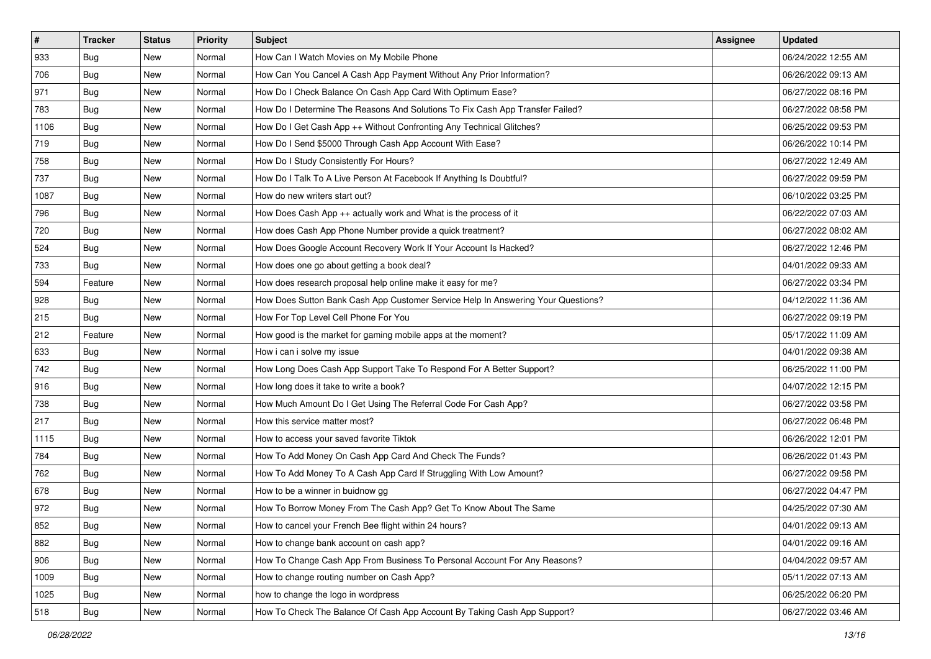| $\vert$ # | <b>Tracker</b> | <b>Status</b> | <b>Priority</b> | Subject                                                                          | Assignee | <b>Updated</b>      |
|-----------|----------------|---------------|-----------------|----------------------------------------------------------------------------------|----------|---------------------|
| 933       | <b>Bug</b>     | New           | Normal          | How Can I Watch Movies on My Mobile Phone                                        |          | 06/24/2022 12:55 AM |
| 706       | Bug            | New           | Normal          | How Can You Cancel A Cash App Payment Without Any Prior Information?             |          | 06/26/2022 09:13 AM |
| 971       | Bug            | New           | Normal          | How Do I Check Balance On Cash App Card With Optimum Ease?                       |          | 06/27/2022 08:16 PM |
| 783       | Bug            | New           | Normal          | How Do I Determine The Reasons And Solutions To Fix Cash App Transfer Failed?    |          | 06/27/2022 08:58 PM |
| 1106      | <b>Bug</b>     | New           | Normal          | How Do I Get Cash App ++ Without Confronting Any Technical Glitches?             |          | 06/25/2022 09:53 PM |
| 719       | <b>Bug</b>     | New           | Normal          | How Do I Send \$5000 Through Cash App Account With Ease?                         |          | 06/26/2022 10:14 PM |
| 758       | Bug            | New           | Normal          | How Do I Study Consistently For Hours?                                           |          | 06/27/2022 12:49 AM |
| 737       | <b>Bug</b>     | New           | Normal          | How Do I Talk To A Live Person At Facebook If Anything Is Doubtful?              |          | 06/27/2022 09:59 PM |
| 1087      | Bug            | New           | Normal          | How do new writers start out?                                                    |          | 06/10/2022 03:25 PM |
| 796       | Bug            | New           | Normal          | How Does Cash App ++ actually work and What is the process of it                 |          | 06/22/2022 07:03 AM |
| 720       | <b>Bug</b>     | New           | Normal          | How does Cash App Phone Number provide a quick treatment?                        |          | 06/27/2022 08:02 AM |
| 524       | Bug            | New           | Normal          | How Does Google Account Recovery Work If Your Account Is Hacked?                 |          | 06/27/2022 12:46 PM |
| 733       | Bug            | New           | Normal          | How does one go about getting a book deal?                                       |          | 04/01/2022 09:33 AM |
| 594       | Feature        | New           | Normal          | How does research proposal help online make it easy for me?                      |          | 06/27/2022 03:34 PM |
| 928       | Bug            | New           | Normal          | How Does Sutton Bank Cash App Customer Service Help In Answering Your Questions? |          | 04/12/2022 11:36 AM |
| 215       | Bug            | New           | Normal          | How For Top Level Cell Phone For You                                             |          | 06/27/2022 09:19 PM |
| 212       | Feature        | New           | Normal          | How good is the market for gaming mobile apps at the moment?                     |          | 05/17/2022 11:09 AM |
| 633       | Bug            | New           | Normal          | How i can i solve my issue                                                       |          | 04/01/2022 09:38 AM |
| 742       | Bug            | New           | Normal          | How Long Does Cash App Support Take To Respond For A Better Support?             |          | 06/25/2022 11:00 PM |
| 916       | Bug            | New           | Normal          | How long does it take to write a book?                                           |          | 04/07/2022 12:15 PM |
| 738       | <b>Bug</b>     | New           | Normal          | How Much Amount Do I Get Using The Referral Code For Cash App?                   |          | 06/27/2022 03:58 PM |
| 217       | Bug            | New           | Normal          | How this service matter most?                                                    |          | 06/27/2022 06:48 PM |
| 1115      | Bug            | New           | Normal          | How to access your saved favorite Tiktok                                         |          | 06/26/2022 12:01 PM |
| 784       | <b>Bug</b>     | New           | Normal          | How To Add Money On Cash App Card And Check The Funds?                           |          | 06/26/2022 01:43 PM |
| 762       | Bug            | New           | Normal          | How To Add Money To A Cash App Card If Struggling With Low Amount?               |          | 06/27/2022 09:58 PM |
| 678       | Bug            | New           | Normal          | How to be a winner in buidnow gg                                                 |          | 06/27/2022 04:47 PM |
| 972       | Bug            | New           | Normal          | How To Borrow Money From The Cash App? Get To Know About The Same                |          | 04/25/2022 07:30 AM |
| 852       | <b>Bug</b>     | New           | Normal          | How to cancel your French Bee flight within 24 hours?                            |          | 04/01/2022 09:13 AM |
| 882       | Bug            | New           | Normal          | How to change bank account on cash app?                                          |          | 04/01/2022 09:16 AM |
| 906       | <b>Bug</b>     | New           | Normal          | How To Change Cash App From Business To Personal Account For Any Reasons?        |          | 04/04/2022 09:57 AM |
| 1009      | Bug            | New           | Normal          | How to change routing number on Cash App?                                        |          | 05/11/2022 07:13 AM |
| 1025      | <b>Bug</b>     | New           | Normal          | how to change the logo in wordpress                                              |          | 06/25/2022 06:20 PM |
| 518       | <b>Bug</b>     | New           | Normal          | How To Check The Balance Of Cash App Account By Taking Cash App Support?         |          | 06/27/2022 03:46 AM |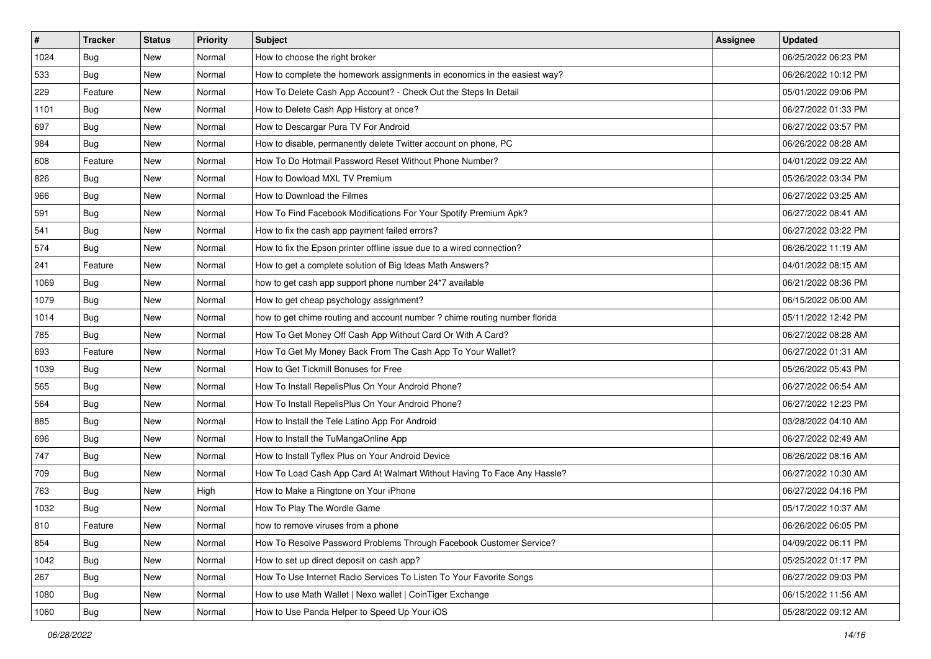| $\vert$ # | <b>Tracker</b> | <b>Status</b> | Priority | Subject                                                                    | Assignee | <b>Updated</b>      |
|-----------|----------------|---------------|----------|----------------------------------------------------------------------------|----------|---------------------|
| 1024      | <b>Bug</b>     | New           | Normal   | How to choose the right broker                                             |          | 06/25/2022 06:23 PM |
| 533       | <b>Bug</b>     | New           | Normal   | How to complete the homework assignments in economics in the easiest way?  |          | 06/26/2022 10:12 PM |
| 229       | Feature        | New           | Normal   | How To Delete Cash App Account? - Check Out the Steps In Detail            |          | 05/01/2022 09:06 PM |
| 1101      | <b>Bug</b>     | New           | Normal   | How to Delete Cash App History at once?                                    |          | 06/27/2022 01:33 PM |
| 697       | Bug            | New           | Normal   | How to Descargar Pura TV For Android                                       |          | 06/27/2022 03:57 PM |
| 984       | Bug            | New           | Normal   | How to disable, permanently delete Twitter account on phone, PC            |          | 06/26/2022 08:28 AM |
| 608       | Feature        | New           | Normal   | How To Do Hotmail Password Reset Without Phone Number?                     |          | 04/01/2022 09:22 AM |
| 826       | <b>Bug</b>     | New           | Normal   | How to Dowload MXL TV Premium                                              |          | 05/26/2022 03:34 PM |
| 966       | <b>Bug</b>     | New           | Normal   | How to Download the Filmes                                                 |          | 06/27/2022 03:25 AM |
| 591       | Bug            | New           | Normal   | How To Find Facebook Modifications For Your Spotify Premium Apk?           |          | 06/27/2022 08:41 AM |
| 541       | <b>Bug</b>     | New           | Normal   | How to fix the cash app payment failed errors?                             |          | 06/27/2022 03:22 PM |
| 574       | Bug            | New           | Normal   | How to fix the Epson printer offline issue due to a wired connection?      |          | 06/26/2022 11:19 AM |
| 241       | Feature        | New           | Normal   | How to get a complete solution of Big Ideas Math Answers?                  |          | 04/01/2022 08:15 AM |
| 1069      | <b>Bug</b>     | New           | Normal   | how to get cash app support phone number 24*7 available                    |          | 06/21/2022 08:36 PM |
| 1079      | Bug            | New           | Normal   | How to get cheap psychology assignment?                                    |          | 06/15/2022 06:00 AM |
| 1014      | Bug            | New           | Normal   | how to get chime routing and account number ? chime routing number florida |          | 05/11/2022 12:42 PM |
| 785       | <b>Bug</b>     | New           | Normal   | How To Get Money Off Cash App Without Card Or With A Card?                 |          | 06/27/2022 08:28 AM |
| 693       | Feature        | New           | Normal   | How To Get My Money Back From The Cash App To Your Wallet?                 |          | 06/27/2022 01:31 AM |
| 1039      | <b>Bug</b>     | New           | Normal   | How to Get Tickmill Bonuses for Free                                       |          | 05/26/2022 05:43 PM |
| 565       | Bug            | New           | Normal   | How To Install RepelisPlus On Your Android Phone?                          |          | 06/27/2022 06:54 AM |
| 564       | <b>Bug</b>     | New           | Normal   | How To Install RepelisPlus On Your Android Phone?                          |          | 06/27/2022 12:23 PM |
| 885       | <b>Bug</b>     | New           | Normal   | How to Install the Tele Latino App For Android                             |          | 03/28/2022 04:10 AM |
| 696       | Bug            | New           | Normal   | How to Install the TuMangaOnline App                                       |          | 06/27/2022 02:49 AM |
| 747       | <b>Bug</b>     | New           | Normal   | How to Install Tyflex Plus on Your Android Device                          |          | 06/26/2022 08:16 AM |
| 709       | Bug            | New           | Normal   | How To Load Cash App Card At Walmart Without Having To Face Any Hassle?    |          | 06/27/2022 10:30 AM |
| 763       | Bug            | New           | High     | How to Make a Ringtone on Your iPhone                                      |          | 06/27/2022 04:16 PM |
| 1032      | <b>Bug</b>     | New           | Normal   | How To Play The Wordle Game                                                |          | 05/17/2022 10:37 AM |
| 810       | Feature        | New           | Normal   | how to remove viruses from a phone                                         |          | 06/26/2022 06:05 PM |
| 854       | Bug            | New           | Normal   | How To Resolve Password Problems Through Facebook Customer Service?        |          | 04/09/2022 06:11 PM |
| 1042      | Bug            | New           | Normal   | How to set up direct deposit on cash app?                                  |          | 05/25/2022 01:17 PM |
| 267       | <b>Bug</b>     | New           | Normal   | How To Use Internet Radio Services To Listen To Your Favorite Songs        |          | 06/27/2022 09:03 PM |
| 1080      | <b>Bug</b>     | New           | Normal   | How to use Math Wallet   Nexo wallet   CoinTiger Exchange                  |          | 06/15/2022 11:56 AM |
| 1060      | <b>Bug</b>     | New           | Normal   | How to Use Panda Helper to Speed Up Your iOS                               |          | 05/28/2022 09:12 AM |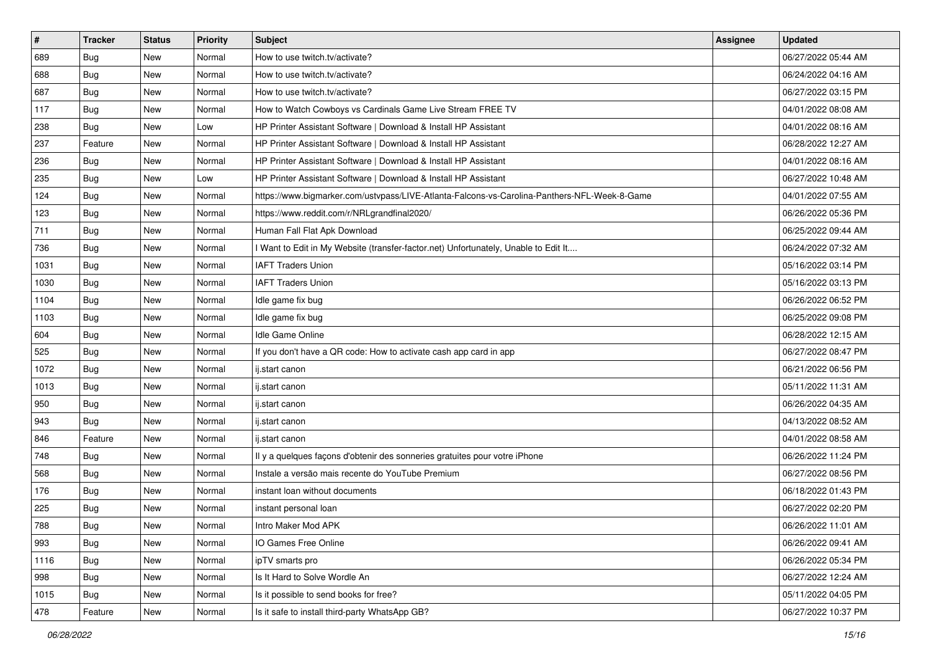| $\vert$ # | <b>Tracker</b> | <b>Status</b> | Priority | Subject                                                                                      | Assignee | <b>Updated</b>      |
|-----------|----------------|---------------|----------|----------------------------------------------------------------------------------------------|----------|---------------------|
| 689       | <b>Bug</b>     | New           | Normal   | How to use twitch.tv/activate?                                                               |          | 06/27/2022 05:44 AM |
| 688       | Bug            | New           | Normal   | How to use twitch.tv/activate?                                                               |          | 06/24/2022 04:16 AM |
| 687       | Bug            | New           | Normal   | How to use twitch.tv/activate?                                                               |          | 06/27/2022 03:15 PM |
| 117       | Bug            | New           | Normal   | How to Watch Cowboys vs Cardinals Game Live Stream FREE TV                                   |          | 04/01/2022 08:08 AM |
| 238       | Bug            | New           | Low      | HP Printer Assistant Software   Download & Install HP Assistant                              |          | 04/01/2022 08:16 AM |
| 237       | Feature        | New           | Normal   | HP Printer Assistant Software   Download & Install HP Assistant                              |          | 06/28/2022 12:27 AM |
| 236       | Bug            | New           | Normal   | HP Printer Assistant Software   Download & Install HP Assistant                              |          | 04/01/2022 08:16 AM |
| 235       | Bug            | New           | Low      | HP Printer Assistant Software   Download & Install HP Assistant                              |          | 06/27/2022 10:48 AM |
| 124       | Bug            | New           | Normal   | https://www.bigmarker.com/ustvpass/LIVE-Atlanta-Falcons-vs-Carolina-Panthers-NFL-Week-8-Game |          | 04/01/2022 07:55 AM |
| 123       | Bug            | New           | Normal   | https://www.reddit.com/r/NRLgrandfinal2020/                                                  |          | 06/26/2022 05:36 PM |
| 711       | <b>Bug</b>     | New           | Normal   | Human Fall Flat Apk Download                                                                 |          | 06/25/2022 09:44 AM |
| 736       | Bug            | New           | Normal   | I Want to Edit in My Website (transfer-factor.net) Unfortunately, Unable to Edit It          |          | 06/24/2022 07:32 AM |
| 1031      | Bug            | New           | Normal   | <b>IAFT Traders Union</b>                                                                    |          | 05/16/2022 03:14 PM |
| 1030      | Bug            | New           | Normal   | <b>IAFT Traders Union</b>                                                                    |          | 05/16/2022 03:13 PM |
| 1104      | Bug            | New           | Normal   | Idle game fix bug                                                                            |          | 06/26/2022 06:52 PM |
| 1103      | Bug            | New           | Normal   | Idle game fix bug                                                                            |          | 06/25/2022 09:08 PM |
| 604       | <b>Bug</b>     | New           | Normal   | Idle Game Online                                                                             |          | 06/28/2022 12:15 AM |
| 525       | Bug            | New           | Normal   | If you don't have a QR code: How to activate cash app card in app                            |          | 06/27/2022 08:47 PM |
| 1072      | Bug            | New           | Normal   | ij.start canon                                                                               |          | 06/21/2022 06:56 PM |
| 1013      | Bug            | New           | Normal   | ij.start canon                                                                               |          | 05/11/2022 11:31 AM |
| 950       | Bug            | New           | Normal   | ij.start canon                                                                               |          | 06/26/2022 04:35 AM |
| 943       | <b>Bug</b>     | New           | Normal   | ij.start canon                                                                               |          | 04/13/2022 08:52 AM |
| 846       | Feature        | New           | Normal   | ij.start canon                                                                               |          | 04/01/2022 08:58 AM |
| 748       | <b>Bug</b>     | New           | Normal   | Il y a quelques façons d'obtenir des sonneries gratuites pour votre iPhone                   |          | 06/26/2022 11:24 PM |
| 568       | Bug            | New           | Normal   | Instale a versão mais recente do YouTube Premium                                             |          | 06/27/2022 08:56 PM |
| 176       | Bug            | New           | Normal   | instant loan without documents                                                               |          | 06/18/2022 01:43 PM |
| 225       | <b>Bug</b>     | New           | Normal   | instant personal loan                                                                        |          | 06/27/2022 02:20 PM |
| 788       | I Bug          | New           | Normal   | Intro Maker Mod APK                                                                          |          | 06/26/2022 11:01 AM |
| 993       | Bug            | New           | Normal   | IO Games Free Online                                                                         |          | 06/26/2022 09:41 AM |
| 1116      | <b>Bug</b>     | New           | Normal   | ipTV smarts pro                                                                              |          | 06/26/2022 05:34 PM |
| 998       | <b>Bug</b>     | New           | Normal   | Is It Hard to Solve Wordle An                                                                |          | 06/27/2022 12:24 AM |
| 1015      | Bug            | New           | Normal   | Is it possible to send books for free?                                                       |          | 05/11/2022 04:05 PM |
| 478       | Feature        | New           | Normal   | Is it safe to install third-party WhatsApp GB?                                               |          | 06/27/2022 10:37 PM |